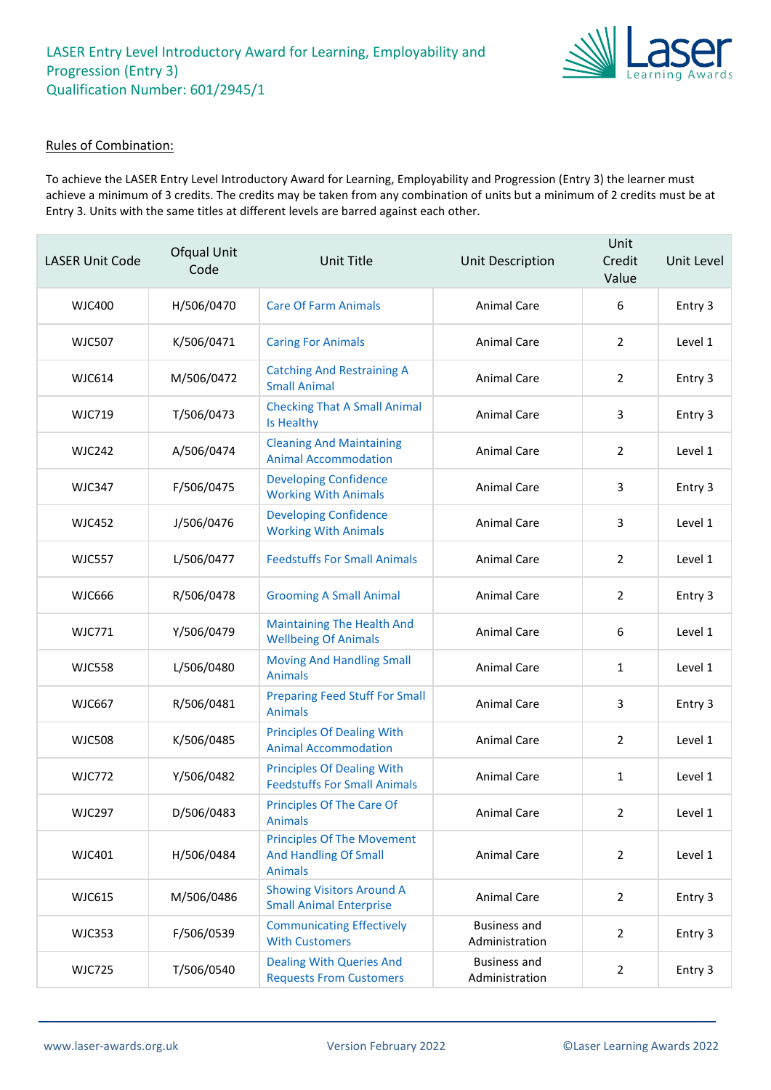

#### Rules of Combination:

To achieve the LASER Entry Level Introductory Award for Learning, Employability and Progression (Entry 3) the learner must achieve a minimum of 3 credits. The credits may be taken from any combination of units but a minimum of 2 credits must be at Entry 3. Units with the same titles at different levels are barred against each other.

| <b>LASER Unit Code</b> | Ofqual Unit<br>Code | Unit Title                                                                          | Unit Description                      | Unit<br>Credit<br>Value | Unit Level |
|------------------------|---------------------|-------------------------------------------------------------------------------------|---------------------------------------|-------------------------|------------|
| WJC400                 | H/506/0470          | <b>Care Of Farm Animals</b>                                                         | <b>Animal Care</b>                    | 6                       | Entry 3    |
| <b>WJC507</b>          | K/506/0471          | <b>Caring For Animals</b>                                                           | <b>Animal Care</b>                    | $\overline{2}$          | Level 1    |
| <b>WJC614</b>          | M/506/0472          | <b>Catching And Restraining A</b><br><b>Small Animal</b>                            | <b>Animal Care</b>                    | 2                       | Entry 3    |
| <b>WJC719</b>          | T/506/0473          | <b>Checking That A Small Animal</b><br>Is Healthy                                   | <b>Animal Care</b>                    | 3                       | Entry 3    |
| <b>WJC242</b>          | A/506/0474          | <b>Cleaning And Maintaining</b><br><b>Animal Accommodation</b>                      | <b>Animal Care</b>                    | $\overline{2}$          | Level 1    |
| <b>WJC347</b>          | F/506/0475          | <b>Developing Confidence</b><br><b>Working With Animals</b>                         | <b>Animal Care</b>                    | 3                       | Entry 3    |
| <b>WJC452</b>          | J/506/0476          | <b>Developing Confidence</b><br><b>Working With Animals</b>                         | <b>Animal Care</b>                    | 3                       | Level 1    |
| <b>WJC557</b>          | L/506/0477          | <b>Feedstuffs For Small Animals</b>                                                 | Animal Care                           | $\overline{2}$          | Level 1    |
| <b>WJC666</b>          | R/506/0478          | <b>Grooming A Small Animal</b>                                                      | <b>Animal Care</b>                    | 2                       | Entry 3    |
| <b>WJC771</b>          | Y/506/0479          | <b>Maintaining The Health And</b><br><b>Wellbeing Of Animals</b>                    | <b>Animal Care</b>                    | 6                       | Level 1    |
| <b>WJC558</b>          | L/506/0480          | <b>Moving And Handling Small</b><br><b>Animals</b>                                  | Animal Care                           | 1                       | Level 1    |
| <b>WJC667</b>          | R/506/0481          | <b>Preparing Feed Stuff For Small</b><br><b>Animals</b>                             | <b>Animal Care</b>                    | 3                       | Entry 3    |
| <b>WJC508</b>          | K/506/0485          | <b>Principles Of Dealing With</b><br><b>Animal Accommodation</b>                    | <b>Animal Care</b>                    | $\overline{2}$          | Level 1    |
| <b>WJC772</b>          | Y/506/0482          | <b>Principles Of Dealing With</b><br><b>Feedstuffs For Small Animals</b>            | <b>Animal Care</b>                    | 1                       | Level 1    |
| <b>WJC297</b>          | D/506/0483          | Principles Of The Care Of<br><b>Animals</b>                                         | Animal Care                           | $\mathcal{P}$           | Level 1    |
| WJC401                 | H/506/0484          | <b>Principles Of The Movement</b><br><b>And Handling Of Small</b><br><b>Animals</b> | Animal Care                           | $\overline{2}$          | Level 1    |
| <b>WJC615</b>          | M/506/0486          | <b>Showing Visitors Around A</b><br><b>Small Animal Enterprise</b>                  | Animal Care                           | $\overline{2}$          | Entry 3    |
| <b>WJC353</b>          | F/506/0539          | <b>Communicating Effectively</b><br><b>With Customers</b>                           | <b>Business and</b><br>Administration | $\overline{2}$          | Entry 3    |
| <b>WJC725</b>          | T/506/0540          | <b>Dealing With Queries And</b><br><b>Requests From Customers</b>                   | <b>Business and</b><br>Administration | $\overline{2}$          | Entry 3    |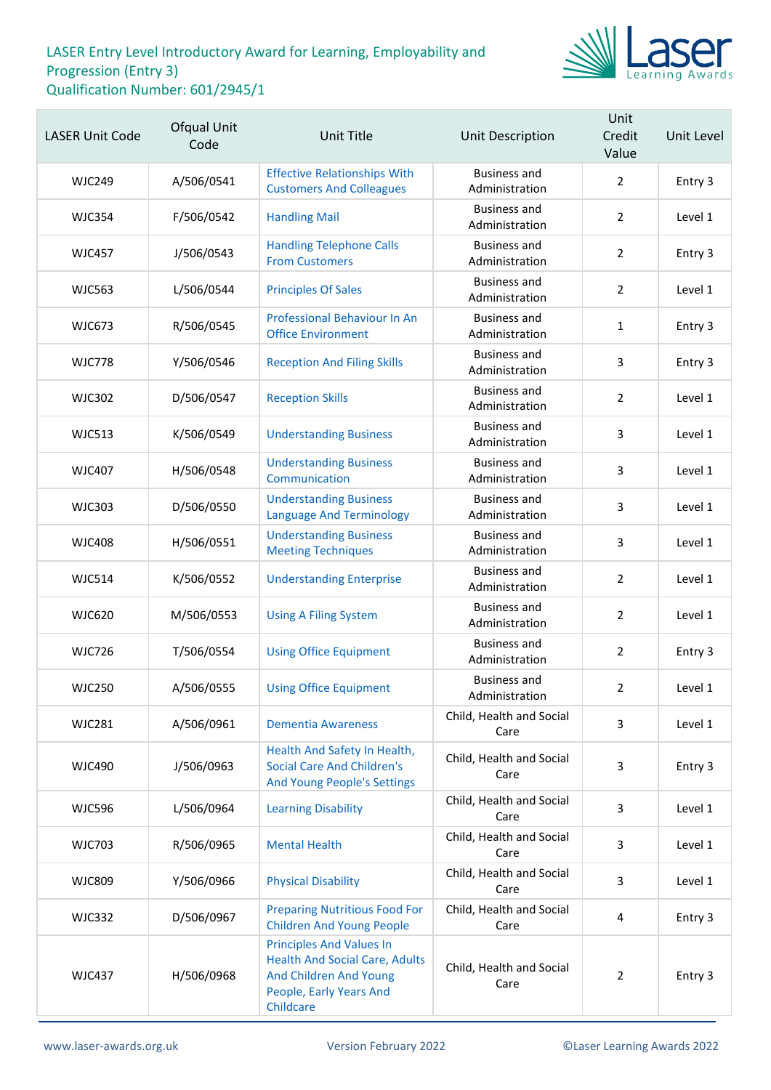

| <b>LASER Unit Code</b> | Ofqual Unit<br>Code | <b>Unit Title</b>                                                                                                                          | Unit Description                      | Unit<br>Credit<br>Value | Unit Level |
|------------------------|---------------------|--------------------------------------------------------------------------------------------------------------------------------------------|---------------------------------------|-------------------------|------------|
| <b>WJC249</b>          | A/506/0541          | <b>Effective Relationships With</b><br><b>Customers And Colleagues</b>                                                                     | <b>Business and</b><br>Administration | $\overline{2}$          | Entry 3    |
| <b>WJC354</b>          | F/506/0542          | <b>Handling Mail</b>                                                                                                                       | <b>Business and</b><br>Administration | $\overline{2}$          | Level 1    |
| WJC457                 | J/506/0543          | <b>Handling Telephone Calls</b><br><b>From Customers</b>                                                                                   | <b>Business and</b><br>Administration | $\overline{2}$          | Entry 3    |
| <b>WJC563</b>          | L/506/0544          | <b>Principles Of Sales</b>                                                                                                                 | <b>Business and</b><br>Administration | $\overline{2}$          | Level 1    |
| <b>WJC673</b>          | R/506/0545          | <b>Professional Behaviour In An</b><br><b>Office Environment</b>                                                                           | <b>Business and</b><br>Administration | $\mathbf{1}$            | Entry 3    |
| <b>WJC778</b>          | Y/506/0546          | <b>Reception And Filing Skills</b>                                                                                                         | <b>Business and</b><br>Administration | 3                       | Entry 3    |
| <b>WJC302</b>          | D/506/0547          | <b>Reception Skills</b>                                                                                                                    | <b>Business and</b><br>Administration | $\overline{2}$          | Level 1    |
| <b>WJC513</b>          | K/506/0549          | <b>Understanding Business</b>                                                                                                              | <b>Business and</b><br>Administration | 3                       | Level 1    |
| <b>WJC407</b>          | H/506/0548          | <b>Understanding Business</b><br>Communication                                                                                             | <b>Business and</b><br>Administration | 3                       | Level 1    |
| <b>WJC303</b>          | D/506/0550          | <b>Understanding Business</b><br><b>Language And Terminology</b>                                                                           | <b>Business and</b><br>Administration | 3                       | Level 1    |
| <b>WJC408</b>          | H/506/0551          | <b>Understanding Business</b><br><b>Meeting Techniques</b>                                                                                 | <b>Business and</b><br>Administration | 3                       | Level 1    |
| <b>WJC514</b>          | K/506/0552          | <b>Understanding Enterprise</b>                                                                                                            | <b>Business and</b><br>Administration | $\overline{2}$          | Level 1    |
| <b>WJC620</b>          | M/506/0553          | <b>Using A Filing System</b>                                                                                                               | <b>Business and</b><br>Administration | $\overline{2}$          | Level 1    |
| <b>WJC726</b>          | T/506/0554          | <b>Using Office Equipment</b>                                                                                                              | <b>Business and</b><br>Administration | $\overline{2}$          | Entry 3    |
| <b>WJC250</b>          | A/506/0555          | <b>Using Office Equipment</b>                                                                                                              | <b>Business and</b><br>Administration | $\overline{2}$          | Level 1    |
| <b>WJC281</b>          | A/506/0961          | <b>Dementia Awareness</b>                                                                                                                  | Child, Health and Social<br>Care      | 3                       | Level 1    |
| <b>WJC490</b>          | J/506/0963          | Health And Safety In Health,<br><b>Social Care And Children's</b><br><b>And Young People's Settings</b>                                    | Child, Health and Social<br>Care      | $\overline{3}$          | Entry 3    |
| <b>WJC596</b>          | L/506/0964          | <b>Learning Disability</b>                                                                                                                 | Child, Health and Social<br>Care      | 3                       | Level 1    |
| <b>WJC703</b>          | R/506/0965          | <b>Mental Health</b>                                                                                                                       | Child, Health and Social<br>Care      | 3                       | Level 1    |
| <b>WJC809</b>          | Y/506/0966          | <b>Physical Disability</b>                                                                                                                 | Child, Health and Social<br>Care      | 3                       | Level 1    |
| <b>WJC332</b>          | D/506/0967          | <b>Preparing Nutritious Food For</b><br><b>Children And Young People</b>                                                                   | Child, Health and Social<br>Care      | 4                       | Entry 3    |
| <b>WJC437</b>          | H/506/0968          | <b>Principles And Values In</b><br><b>Health And Social Care, Adults</b><br>And Children And Young<br>People, Early Years And<br>Childcare | Child, Health and Social<br>Care      | $\overline{2}$          | Entry 3    |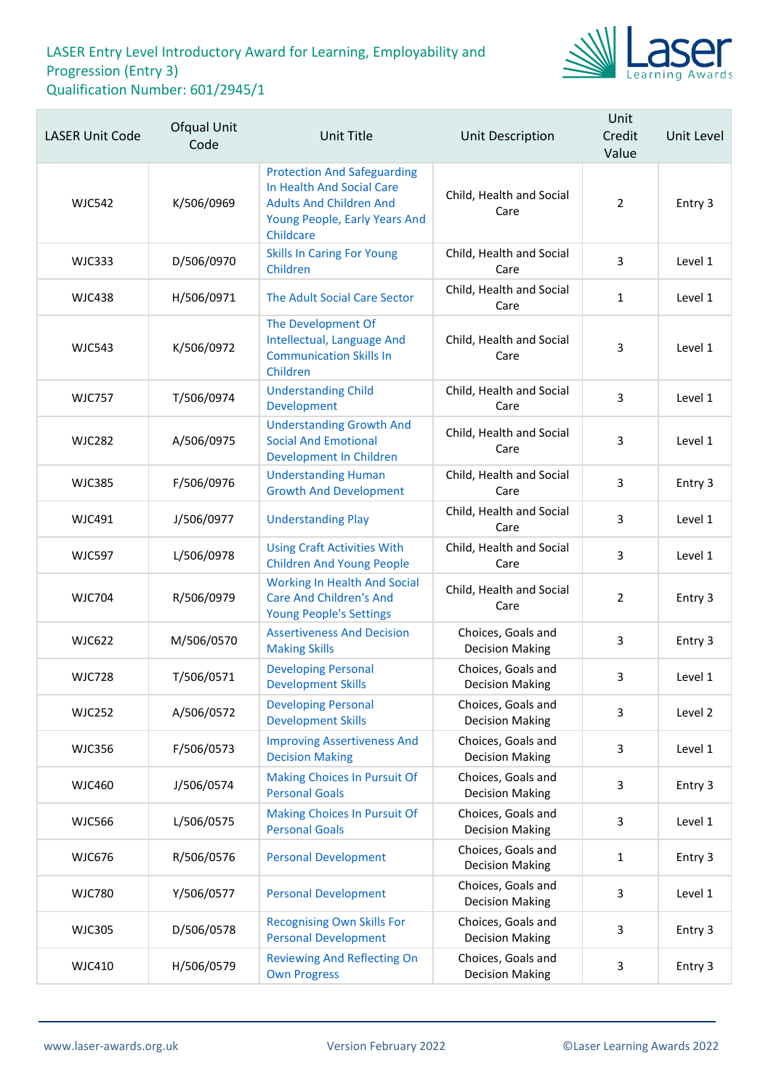

| <b>LASER Unit Code</b> | Ofqual Unit<br>Code | Unit Title                                                                                                                                      | <b>Unit Description</b>                      | Unit<br>Credit<br>Value | Unit Level |
|------------------------|---------------------|-------------------------------------------------------------------------------------------------------------------------------------------------|----------------------------------------------|-------------------------|------------|
| <b>WJC542</b>          | K/506/0969          | <b>Protection And Safeguarding</b><br>In Health And Social Care<br><b>Adults And Children And</b><br>Young People, Early Years And<br>Childcare | Child, Health and Social<br>Care             | $\overline{2}$          | Entry 3    |
| <b>WJC333</b>          | D/506/0970          | <b>Skills In Caring For Young</b><br>Children                                                                                                   | Child, Health and Social<br>Care             | 3                       | Level 1    |
| <b>WJC438</b>          | H/506/0971          | The Adult Social Care Sector                                                                                                                    | Child, Health and Social<br>Care             | $\mathbf{1}$            | Level 1    |
| <b>WJC543</b>          | K/506/0972          | The Development Of<br>Intellectual, Language And<br><b>Communication Skills In</b><br>Children                                                  | Child, Health and Social<br>Care             | 3                       | Level 1    |
| <b>WJC757</b>          | T/506/0974          | <b>Understanding Child</b><br>Development                                                                                                       | Child, Health and Social<br>Care             | 3                       | Level 1    |
| <b>WJC282</b>          | A/506/0975          | <b>Understanding Growth And</b><br><b>Social And Emotional</b><br>Development In Children                                                       | Child, Health and Social<br>Care             | 3                       | Level 1    |
| <b>WJC385</b>          | F/506/0976          | <b>Understanding Human</b><br><b>Growth And Development</b>                                                                                     | Child, Health and Social<br>Care             | 3                       | Entry 3    |
| <b>WJC491</b>          | J/506/0977          | <b>Understanding Play</b>                                                                                                                       | Child, Health and Social<br>Care             | 3                       | Level 1    |
| <b>WJC597</b>          | L/506/0978          | <b>Using Craft Activities With</b><br><b>Children And Young People</b>                                                                          | Child, Health and Social<br>Care             | 3                       | Level 1    |
| <b>WJC704</b>          | R/506/0979          | <b>Working In Health And Social</b><br><b>Care And Children's And</b><br><b>Young People's Settings</b>                                         | Child, Health and Social<br>Care             | $\overline{2}$          | Entry 3    |
| <b>WJC622</b>          | M/506/0570          | <b>Assertiveness And Decision</b><br><b>Making Skills</b>                                                                                       | Choices, Goals and<br><b>Decision Making</b> | 3                       | Entry 3    |
| <b>WJC728</b>          | T/506/0571          | <b>Developing Personal</b><br><b>Development Skills</b>                                                                                         | Choices, Goals and<br><b>Decision Making</b> | 3                       | Level 1    |
| <b>WJC252</b>          | A/506/0572          | <b>Developing Personal</b><br><b>Development Skills</b>                                                                                         | Choices, Goals and<br><b>Decision Making</b> | 3                       | Level 2    |
| <b>WJC356</b>          | F/506/0573          | <b>Improving Assertiveness And</b><br><b>Decision Making</b>                                                                                    | Choices, Goals and<br><b>Decision Making</b> | 3                       | Level 1    |
| <b>WJC460</b>          | J/506/0574          | <b>Making Choices In Pursuit Of</b><br><b>Personal Goals</b>                                                                                    | Choices, Goals and<br><b>Decision Making</b> | 3                       | Entry 3    |
| <b>WJC566</b>          | L/506/0575          | <b>Making Choices In Pursuit Of</b><br><b>Personal Goals</b>                                                                                    | Choices, Goals and<br><b>Decision Making</b> | 3                       | Level 1    |
| <b>WJC676</b>          | R/506/0576          | <b>Personal Development</b>                                                                                                                     | Choices, Goals and<br><b>Decision Making</b> | $\mathbf 1$             | Entry 3    |
| <b>WJC780</b>          | Y/506/0577          | <b>Personal Development</b>                                                                                                                     | Choices, Goals and<br><b>Decision Making</b> | 3                       | Level 1    |
| <b>WJC305</b>          | D/506/0578          | <b>Recognising Own Skills For</b><br><b>Personal Development</b>                                                                                | Choices, Goals and<br><b>Decision Making</b> | 3                       | Entry 3    |
| <b>WJC410</b>          | H/506/0579          | <b>Reviewing And Reflecting On</b><br><b>Own Progress</b>                                                                                       | Choices, Goals and<br><b>Decision Making</b> | 3                       | Entry 3    |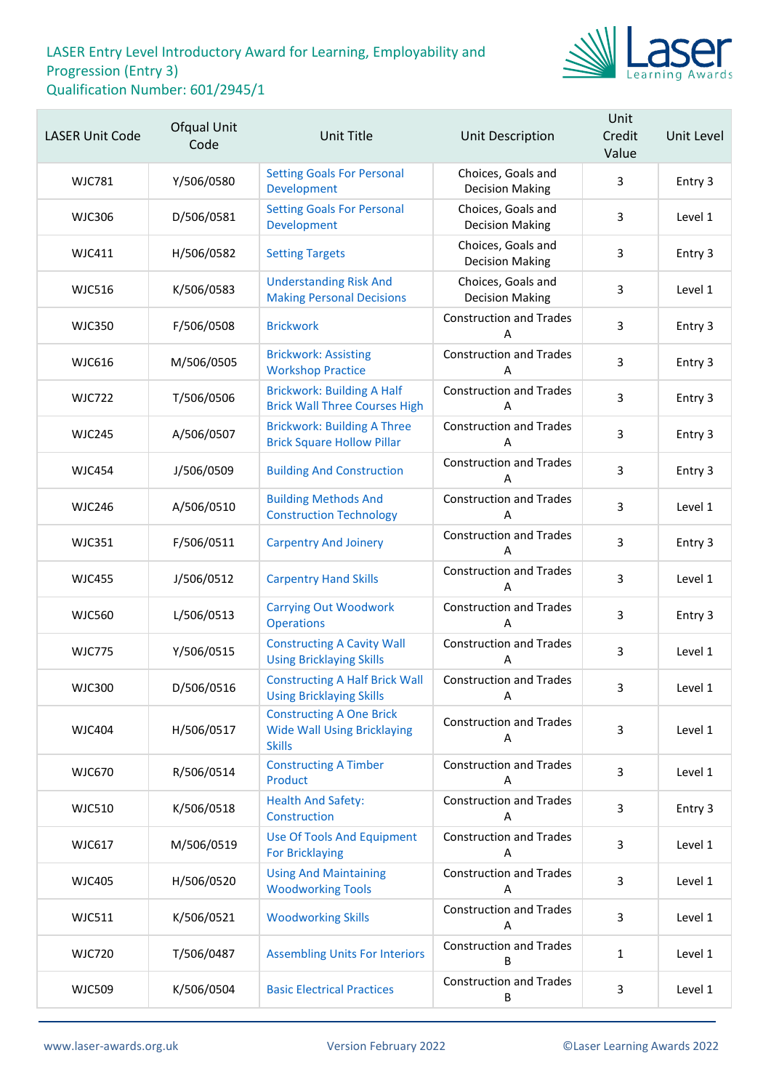

| <b>LASER Unit Code</b> | Ofqual Unit<br>Code | <b>Unit Title</b>                                                                      | Unit Description                             | Unit<br>Credit<br>Value | Unit Level |
|------------------------|---------------------|----------------------------------------------------------------------------------------|----------------------------------------------|-------------------------|------------|
| <b>WJC781</b>          | Y/506/0580          | <b>Setting Goals For Personal</b><br>Development                                       | Choices, Goals and<br><b>Decision Making</b> | 3                       | Entry 3    |
| <b>WJC306</b>          | D/506/0581          | <b>Setting Goals For Personal</b><br>Development                                       | Choices, Goals and<br><b>Decision Making</b> | 3                       | Level 1    |
| WJC411                 | H/506/0582          | <b>Setting Targets</b>                                                                 | Choices, Goals and<br><b>Decision Making</b> | 3                       | Entry 3    |
| <b>WJC516</b>          | K/506/0583          | <b>Understanding Risk And</b><br><b>Making Personal Decisions</b>                      | Choices, Goals and<br><b>Decision Making</b> | 3                       | Level 1    |
| <b>WJC350</b>          | F/506/0508          | <b>Brickwork</b>                                                                       | <b>Construction and Trades</b><br>Α          | $\overline{3}$          | Entry 3    |
| <b>WJC616</b>          | M/506/0505          | <b>Brickwork: Assisting</b><br><b>Workshop Practice</b>                                | <b>Construction and Trades</b><br>А          | 3                       | Entry 3    |
| <b>WJC722</b>          | T/506/0506          | <b>Brickwork: Building A Half</b><br><b>Brick Wall Three Courses High</b>              | <b>Construction and Trades</b><br>Α          | 3                       | Entry 3    |
| <b>WJC245</b>          | A/506/0507          | <b>Brickwork: Building A Three</b><br><b>Brick Square Hollow Pillar</b>                | <b>Construction and Trades</b><br>Α          | $\overline{3}$          | Entry 3    |
| <b>WJC454</b>          | J/506/0509          | <b>Building And Construction</b>                                                       | <b>Construction and Trades</b><br>А          | 3                       | Entry 3    |
| <b>WJC246</b>          | A/506/0510          | <b>Building Methods And</b><br><b>Construction Technology</b>                          | <b>Construction and Trades</b><br>А          | 3                       | Level 1    |
| <b>WJC351</b>          | F/506/0511          | <b>Carpentry And Joinery</b>                                                           | <b>Construction and Trades</b><br>Α          | $\overline{3}$          | Entry 3    |
| <b>WJC455</b>          | J/506/0512          | <b>Carpentry Hand Skills</b>                                                           | <b>Construction and Trades</b><br>А          | 3                       | Level 1    |
| <b>WJC560</b>          | L/506/0513          | <b>Carrying Out Woodwork</b><br><b>Operations</b>                                      | <b>Construction and Trades</b><br>Α          | 3                       | Entry 3    |
| <b>WJC775</b>          | Y/506/0515          | <b>Constructing A Cavity Wall</b><br><b>Using Bricklaying Skills</b>                   | <b>Construction and Trades</b><br>А          | 3                       | Level 1    |
| <b>WJC300</b>          | D/506/0516          | <b>Constructing A Half Brick Wall</b><br><b>Using Bricklaying Skills</b>               | <b>Construction and Trades</b><br>Α          | 3                       | Level 1    |
| <b>WJC404</b>          | H/506/0517          | <b>Constructing A One Brick</b><br><b>Wide Wall Using Bricklaying</b><br><b>Skills</b> | <b>Construction and Trades</b><br>Α          | 3                       | Level 1    |
| <b>WJC670</b>          | R/506/0514          | <b>Constructing A Timber</b><br>Product                                                | <b>Construction and Trades</b><br>A          | 3                       | Level 1    |
| <b>WJC510</b>          | K/506/0518          | <b>Health And Safety:</b><br>Construction                                              | <b>Construction and Trades</b><br>A          | 3                       | Entry 3    |
| <b>WJC617</b>          | M/506/0519          | <b>Use Of Tools And Equipment</b><br><b>For Bricklaying</b>                            | <b>Construction and Trades</b><br>Α          | 3                       | Level 1    |
| <b>WJC405</b>          | H/506/0520          | <b>Using And Maintaining</b><br><b>Woodworking Tools</b>                               | <b>Construction and Trades</b><br>A          | 3                       | Level 1    |
| <b>WJC511</b>          | K/506/0521          | <b>Woodworking Skills</b>                                                              | <b>Construction and Trades</b><br>A          | 3                       | Level 1    |
| <b>WJC720</b>          | T/506/0487          | <b>Assembling Units For Interiors</b>                                                  | <b>Construction and Trades</b><br>В          | $\mathbf{1}$            | Level 1    |
| <b>WJC509</b>          | K/506/0504          | <b>Basic Electrical Practices</b>                                                      | <b>Construction and Trades</b><br>В          | $\mathbf{3}$            | Level 1    |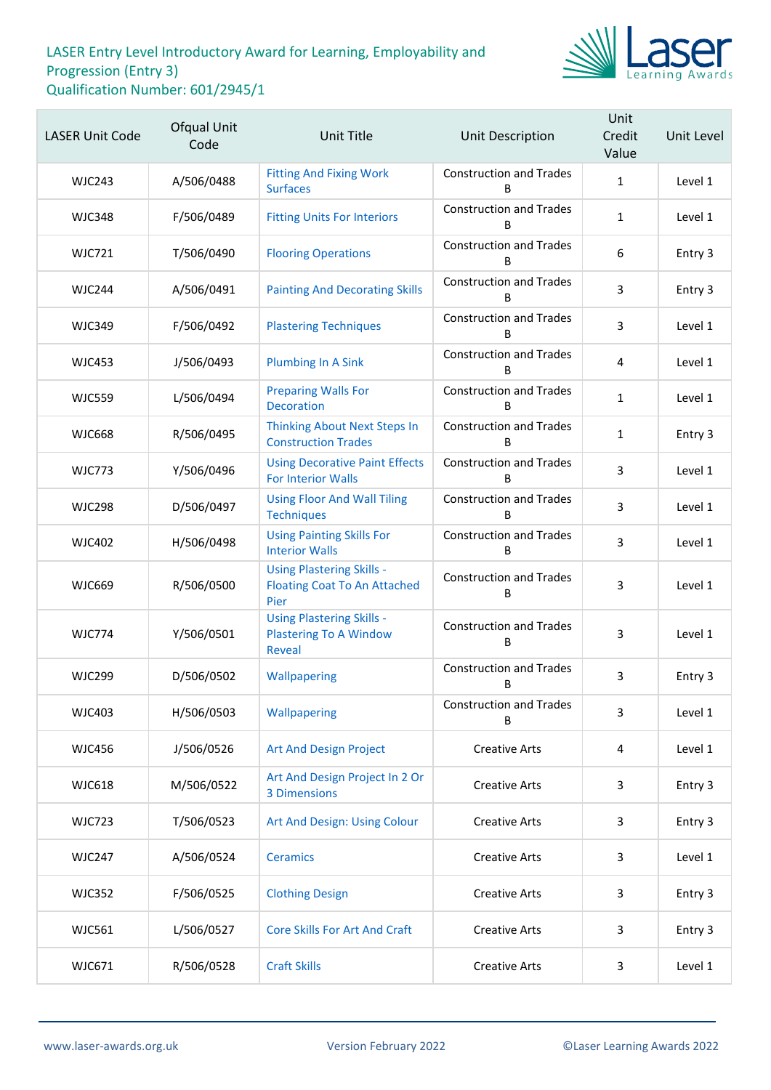

| <b>LASER Unit Code</b> | Ofqual Unit<br>Code | Unit Title                                                                         | <b>Unit Description</b>             | Unit<br>Credit<br>Value | Unit Level |
|------------------------|---------------------|------------------------------------------------------------------------------------|-------------------------------------|-------------------------|------------|
| <b>WJC243</b>          | A/506/0488          | <b>Fitting And Fixing Work</b><br><b>Surfaces</b>                                  | <b>Construction and Trades</b><br>B | $\mathbf{1}$            | Level 1    |
| <b>WJC348</b>          | F/506/0489          | <b>Fitting Units For Interiors</b>                                                 | <b>Construction and Trades</b><br>B | $\mathbf{1}$            | Level 1    |
| <b>WJC721</b>          | T/506/0490          | <b>Flooring Operations</b>                                                         | <b>Construction and Trades</b><br>B | $\boldsymbol{6}$        | Entry 3    |
| <b>WJC244</b>          | A/506/0491          | <b>Painting And Decorating Skills</b>                                              | <b>Construction and Trades</b><br>B | 3                       | Entry 3    |
| <b>WJC349</b>          | F/506/0492          | <b>Plastering Techniques</b>                                                       | <b>Construction and Trades</b><br>B | 3                       | Level 1    |
| <b>WJC453</b>          | J/506/0493          | <b>Plumbing In A Sink</b>                                                          | <b>Construction and Trades</b><br>B | 4                       | Level 1    |
| <b>WJC559</b>          | L/506/0494          | <b>Preparing Walls For</b><br><b>Decoration</b>                                    | <b>Construction and Trades</b><br>B | $\mathbf{1}$            | Level 1    |
| <b>WJC668</b>          | R/506/0495          | <b>Thinking About Next Steps In</b><br><b>Construction Trades</b>                  | <b>Construction and Trades</b><br>B | $\mathbf{1}$            | Entry 3    |
| <b>WJC773</b>          | Y/506/0496          | <b>Using Decorative Paint Effects</b><br><b>For Interior Walls</b>                 | <b>Construction and Trades</b><br>в | 3                       | Level 1    |
| <b>WJC298</b>          | D/506/0497          | <b>Using Floor And Wall Tiling</b><br><b>Techniques</b>                            | <b>Construction and Trades</b><br>B | 3                       | Level 1    |
| <b>WJC402</b>          | H/506/0498          | <b>Using Painting Skills For</b><br><b>Interior Walls</b>                          | <b>Construction and Trades</b><br>B | 3                       | Level 1    |
| <b>WJC669</b>          | R/506/0500          | <b>Using Plastering Skills -</b><br><b>Floating Coat To An Attached</b><br>Pier    | <b>Construction and Trades</b><br>В | 3                       | Level 1    |
| <b>WJC774</b>          | Y/506/0501          | <b>Using Plastering Skills -</b><br><b>Plastering To A Window</b><br><b>Reveal</b> | <b>Construction and Trades</b><br>B | 3                       | Level 1    |
| <b>WJC299</b>          | D/506/0502          | Wallpapering                                                                       | <b>Construction and Trades</b><br>В | 3                       | Entry 3    |
| <b>WJC403</b>          | H/506/0503          | Wallpapering                                                                       | <b>Construction and Trades</b><br>B | 3                       | Level 1    |
| <b>WJC456</b>          | J/506/0526          | <b>Art And Design Project</b>                                                      | <b>Creative Arts</b>                | 4                       | Level 1    |
| <b>WJC618</b>          | M/506/0522          | Art And Design Project In 2 Or<br><b>3 Dimensions</b>                              | <b>Creative Arts</b>                | 3                       | Entry 3    |
| <b>WJC723</b>          | T/506/0523          | Art And Design: Using Colour                                                       | <b>Creative Arts</b>                | 3                       | Entry 3    |
| <b>WJC247</b>          | A/506/0524          | <b>Ceramics</b>                                                                    | <b>Creative Arts</b>                | 3                       | Level 1    |
| <b>WJC352</b>          | F/506/0525          | <b>Clothing Design</b>                                                             | <b>Creative Arts</b>                | 3                       | Entry 3    |
| <b>WJC561</b>          | L/506/0527          | <b>Core Skills For Art And Craft</b>                                               | <b>Creative Arts</b>                | 3                       | Entry 3    |
| WJC671                 | R/506/0528          | <b>Craft Skills</b>                                                                | <b>Creative Arts</b>                | 3                       | Level 1    |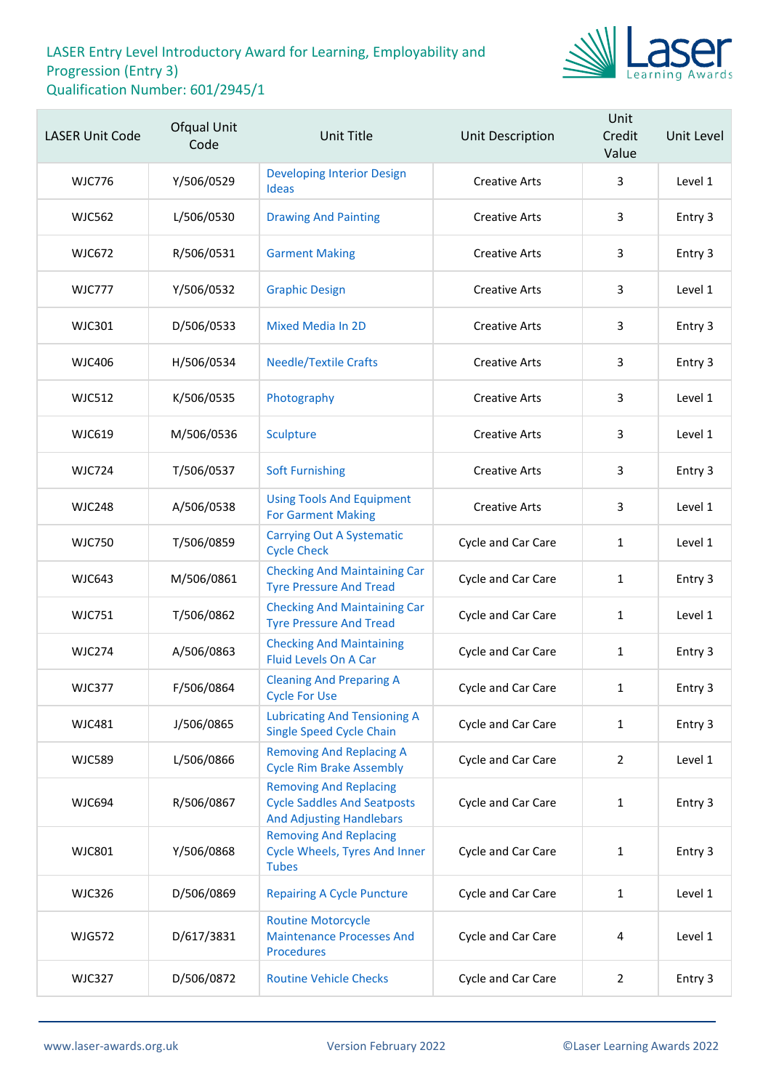

| <b>LASER Unit Code</b> | Ofqual Unit<br>Code | Unit Title                                                                                             | Unit Description     | Unit<br>Credit<br>Value | Unit Level |
|------------------------|---------------------|--------------------------------------------------------------------------------------------------------|----------------------|-------------------------|------------|
| <b>WJC776</b>          | Y/506/0529          | <b>Developing Interior Design</b><br>Ideas                                                             | <b>Creative Arts</b> | 3                       | Level 1    |
| <b>WJC562</b>          | L/506/0530          | <b>Drawing And Painting</b>                                                                            | <b>Creative Arts</b> | 3                       | Entry 3    |
| <b>WJC672</b>          | R/506/0531          | <b>Garment Making</b>                                                                                  | <b>Creative Arts</b> | 3                       | Entry 3    |
| <b>WJC777</b>          | Y/506/0532          | <b>Graphic Design</b>                                                                                  | <b>Creative Arts</b> | 3                       | Level 1    |
| WJC301                 | D/506/0533          | <b>Mixed Media In 2D</b>                                                                               | <b>Creative Arts</b> | 3                       | Entry 3    |
| <b>WJC406</b>          | H/506/0534          | <b>Needle/Textile Crafts</b>                                                                           | <b>Creative Arts</b> | 3                       | Entry 3    |
| <b>WJC512</b>          | K/506/0535          | Photography                                                                                            | <b>Creative Arts</b> | 3                       | Level 1    |
| <b>WJC619</b>          | M/506/0536          | Sculpture                                                                                              | <b>Creative Arts</b> | 3                       | Level 1    |
| <b>WJC724</b>          | T/506/0537          | <b>Soft Furnishing</b>                                                                                 | <b>Creative Arts</b> | 3                       | Entry 3    |
| <b>WJC248</b>          | A/506/0538          | <b>Using Tools And Equipment</b><br><b>For Garment Making</b>                                          | <b>Creative Arts</b> | 3                       | Level 1    |
| <b>WJC750</b>          | T/506/0859          | <b>Carrying Out A Systematic</b><br><b>Cycle Check</b>                                                 | Cycle and Car Care   | $\mathbf{1}$            | Level 1    |
| <b>WJC643</b>          | M/506/0861          | <b>Checking And Maintaining Car</b><br><b>Tyre Pressure And Tread</b>                                  | Cycle and Car Care   | $\mathbf{1}$            | Entry 3    |
| <b>WJC751</b>          | T/506/0862          | <b>Checking And Maintaining Car</b><br><b>Tyre Pressure And Tread</b>                                  | Cycle and Car Care   | 1                       | Level 1    |
| <b>WJC274</b>          | A/506/0863          | <b>Checking And Maintaining</b><br>Fluid Levels On A Car                                               | Cycle and Car Care   | $\mathbf{1}$            | Entry 3    |
| <b>WJC377</b>          | F/506/0864          | <b>Cleaning And Preparing A</b><br><b>Cycle For Use</b>                                                | Cycle and Car Care   | $\mathbf{1}$            | Entry 3    |
| <b>WJC481</b>          | J/506/0865          | <b>Lubricating And Tensioning A</b><br><b>Single Speed Cycle Chain</b>                                 | Cycle and Car Care   | 1                       | Entry 3    |
| <b>WJC589</b>          | L/506/0866          | <b>Removing And Replacing A</b><br><b>Cycle Rim Brake Assembly</b>                                     | Cycle and Car Care   | $\overline{2}$          | Level 1    |
| <b>WJC694</b>          | R/506/0867          | <b>Removing And Replacing</b><br><b>Cycle Saddles And Seatposts</b><br><b>And Adjusting Handlebars</b> | Cycle and Car Care   | 1                       | Entry 3    |
| <b>WJC801</b>          | Y/506/0868          | <b>Removing And Replacing</b><br><b>Cycle Wheels, Tyres And Inner</b><br><b>Tubes</b>                  | Cycle and Car Care   | 1                       | Entry 3    |
| <b>WJC326</b>          | D/506/0869          | <b>Repairing A Cycle Puncture</b>                                                                      | Cycle and Car Care   | 1                       | Level 1    |
| <b>WJG572</b>          | D/617/3831          | <b>Routine Motorcycle</b><br><b>Maintenance Processes And</b><br><b>Procedures</b>                     | Cycle and Car Care   | 4                       | Level 1    |
| <b>WJC327</b>          | D/506/0872          | <b>Routine Vehicle Checks</b>                                                                          | Cycle and Car Care   | $\overline{2}$          | Entry 3    |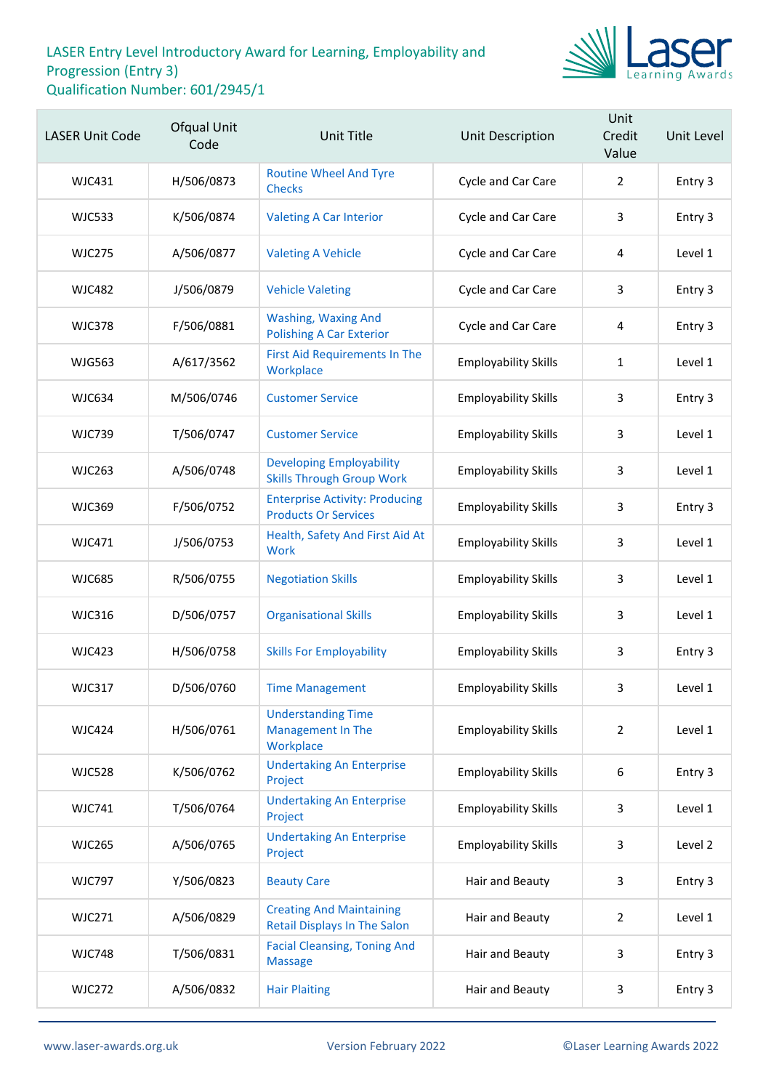

| <b>LASER Unit Code</b> | Ofqual Unit<br>Code | <b>Unit Title</b>                                                      | Unit Description            | Unit<br>Credit<br>Value | Unit Level |
|------------------------|---------------------|------------------------------------------------------------------------|-----------------------------|-------------------------|------------|
| WJC431                 | H/506/0873          | <b>Routine Wheel And Tyre</b><br><b>Checks</b>                         | Cycle and Car Care          | $\overline{2}$          | Entry 3    |
| <b>WJC533</b>          | K/506/0874          | <b>Valeting A Car Interior</b>                                         | Cycle and Car Care          | 3                       | Entry 3    |
| <b>WJC275</b>          | A/506/0877          | <b>Valeting A Vehicle</b>                                              | Cycle and Car Care          | 4                       | Level 1    |
| <b>WJC482</b>          | J/506/0879          | <b>Vehicle Valeting</b>                                                | Cycle and Car Care          | 3                       | Entry 3    |
| <b>WJC378</b>          | F/506/0881          | <b>Washing, Waxing And</b><br><b>Polishing A Car Exterior</b>          | Cycle and Car Care          | 4                       | Entry 3    |
| <b>WJG563</b>          | A/617/3562          | <b>First Aid Requirements In The</b><br>Workplace                      | <b>Employability Skills</b> | 1                       | Level 1    |
| <b>WJC634</b>          | M/506/0746          | <b>Customer Service</b>                                                | <b>Employability Skills</b> | 3                       | Entry 3    |
| <b>WJC739</b>          | T/506/0747          | <b>Customer Service</b>                                                | <b>Employability Skills</b> | 3                       | Level 1    |
| <b>WJC263</b>          | A/506/0748          | <b>Developing Employability</b><br><b>Skills Through Group Work</b>    | <b>Employability Skills</b> | 3                       | Level 1    |
| <b>WJC369</b>          | F/506/0752          | <b>Enterprise Activity: Producing</b><br><b>Products Or Services</b>   | <b>Employability Skills</b> | 3                       | Entry 3    |
| WJC471                 | J/506/0753          | Health, Safety And First Aid At<br><b>Work</b>                         | <b>Employability Skills</b> | 3                       | Level 1    |
| <b>WJC685</b>          | R/506/0755          | <b>Negotiation Skills</b>                                              | <b>Employability Skills</b> | 3                       | Level 1    |
| <b>WJC316</b>          | D/506/0757          | <b>Organisational Skills</b>                                           | <b>Employability Skills</b> | 3                       | Level 1    |
| <b>WJC423</b>          | H/506/0758          | <b>Skills For Employability</b>                                        | <b>Employability Skills</b> | 3                       | Entry 3    |
| <b>WJC317</b>          | D/506/0760          | <b>Time Management</b>                                                 | <b>Employability Skills</b> | 3                       | Level 1    |
| <b>WJC424</b>          | H/506/0761          | <b>Understanding Time</b><br><b>Management In The</b><br>Workplace     | <b>Employability Skills</b> | $\overline{2}$          | Level 1    |
| <b>WJC528</b>          | K/506/0762          | <b>Undertaking An Enterprise</b><br>Project                            | <b>Employability Skills</b> | 6                       | Entry 3    |
| <b>WJC741</b>          | T/506/0764          | <b>Undertaking An Enterprise</b><br>Project                            | <b>Employability Skills</b> | 3                       | Level 1    |
| <b>WJC265</b>          | A/506/0765          | <b>Undertaking An Enterprise</b><br>Project                            | <b>Employability Skills</b> | 3                       | Level 2    |
| <b>WJC797</b>          | Y/506/0823          | <b>Beauty Care</b>                                                     | Hair and Beauty             | 3                       | Entry 3    |
| <b>WJC271</b>          | A/506/0829          | <b>Creating And Maintaining</b><br><b>Retail Displays In The Salon</b> | Hair and Beauty             | $\overline{2}$          | Level 1    |
| <b>WJC748</b>          | T/506/0831          | <b>Facial Cleansing, Toning And</b><br><b>Massage</b>                  | Hair and Beauty             | 3                       | Entry 3    |
| <b>WJC272</b>          | A/506/0832          | <b>Hair Plaiting</b>                                                   | Hair and Beauty             | 3                       | Entry 3    |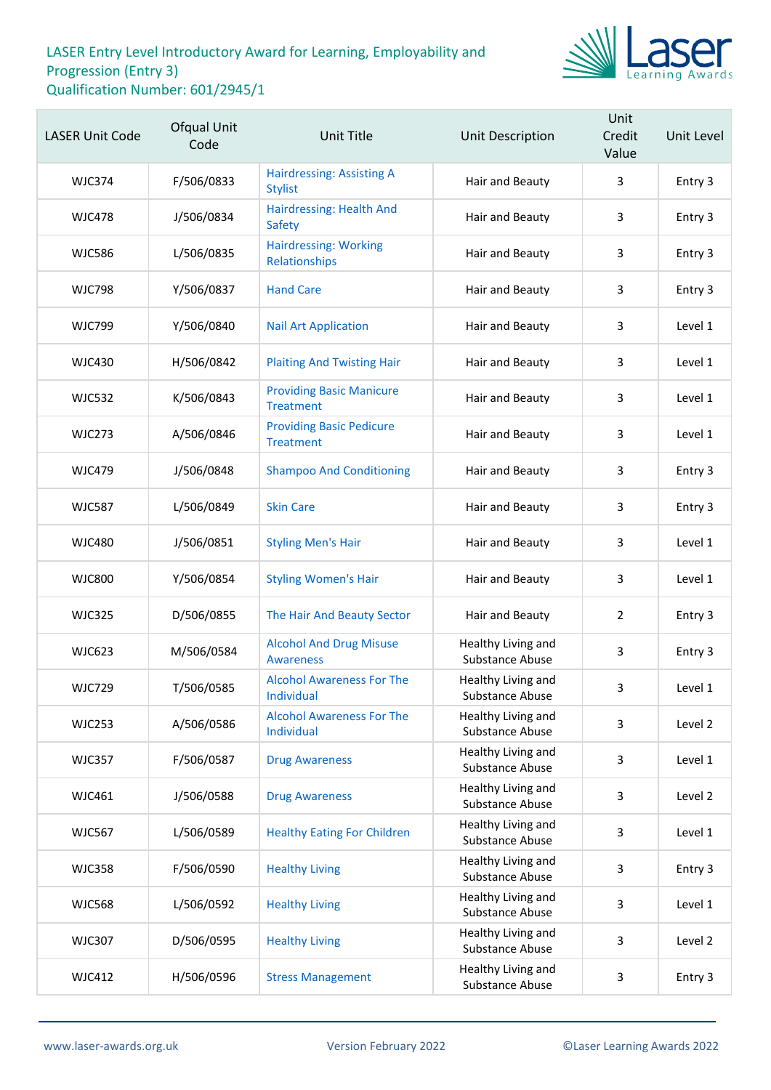

| <b>LASER Unit Code</b> | Ofqual Unit<br>Code | <b>Unit Title</b>                                   | Unit Description                      | Unit<br>Credit<br>Value | Unit Level |
|------------------------|---------------------|-----------------------------------------------------|---------------------------------------|-------------------------|------------|
| <b>WJC374</b>          | F/506/0833          | <b>Hairdressing: Assisting A</b><br><b>Stylist</b>  | Hair and Beauty                       | 3                       | Entry 3    |
| <b>WJC478</b>          | J/506/0834          | Hairdressing: Health And<br><b>Safety</b>           | Hair and Beauty                       | 3                       | Entry 3    |
| <b>WJC586</b>          | L/506/0835          | <b>Hairdressing: Working</b><br>Relationships       | Hair and Beauty                       | 3                       | Entry 3    |
| <b>WJC798</b>          | Y/506/0837          | <b>Hand Care</b>                                    | Hair and Beauty                       | 3                       | Entry 3    |
| <b>WJC799</b>          | Y/506/0840          | <b>Nail Art Application</b>                         | Hair and Beauty                       | 3                       | Level 1    |
| <b>WJC430</b>          | H/506/0842          | <b>Plaiting And Twisting Hair</b>                   | Hair and Beauty                       | 3                       | Level 1    |
| <b>WJC532</b>          | K/506/0843          | <b>Providing Basic Manicure</b><br><b>Treatment</b> | Hair and Beauty                       | 3                       | Level 1    |
| <b>WJC273</b>          | A/506/0846          | <b>Providing Basic Pedicure</b><br><b>Treatment</b> | Hair and Beauty                       | 3                       | Level 1    |
| <b>WJC479</b>          | J/506/0848          | <b>Shampoo And Conditioning</b>                     | Hair and Beauty                       | 3                       | Entry 3    |
| <b>WJC587</b>          | L/506/0849          | <b>Skin Care</b>                                    | Hair and Beauty                       | 3                       | Entry 3    |
| <b>WJC480</b>          | J/506/0851          | <b>Styling Men's Hair</b>                           | Hair and Beauty                       | 3                       | Level 1    |
| <b>WJC800</b>          | Y/506/0854          | <b>Styling Women's Hair</b>                         | Hair and Beauty                       | 3                       | Level 1    |
| <b>WJC325</b>          | D/506/0855          | The Hair And Beauty Sector                          | Hair and Beauty                       | $\overline{2}$          | Entry 3    |
| <b>WJC623</b>          | M/506/0584          | <b>Alcohol And Drug Misuse</b><br><b>Awareness</b>  | Healthy Living and<br>Substance Abuse | 3                       | Entry 3    |
| <b>WJC729</b>          | T/506/0585          | <b>Alcohol Awareness For The</b><br>Individual      | Healthy Living and<br>Substance Abuse | 3                       | Level 1    |
| <b>WJC253</b>          | A/506/0586          | <b>Alcohol Awareness For The</b><br>Individual      | Healthy Living and<br>Substance Abuse | 3                       | Level 2    |
| <b>WJC357</b>          | F/506/0587          | <b>Drug Awareness</b>                               | Healthy Living and<br>Substance Abuse | 3                       | Level 1    |
| WJC461                 | J/506/0588          | <b>Drug Awareness</b>                               | Healthy Living and<br>Substance Abuse | 3                       | Level 2    |
| <b>WJC567</b>          | L/506/0589          | <b>Healthy Eating For Children</b>                  | Healthy Living and<br>Substance Abuse | 3                       | Level 1    |
| <b>WJC358</b>          | F/506/0590          | <b>Healthy Living</b>                               | Healthy Living and<br>Substance Abuse | 3                       | Entry 3    |
| <b>WJC568</b>          | L/506/0592          | <b>Healthy Living</b>                               | Healthy Living and<br>Substance Abuse | 3                       | Level 1    |
| <b>WJC307</b>          | D/506/0595          | <b>Healthy Living</b>                               | Healthy Living and<br>Substance Abuse | 3                       | Level 2    |
| <b>WJC412</b>          | H/506/0596          | <b>Stress Management</b>                            | Healthy Living and<br>Substance Abuse | 3                       | Entry 3    |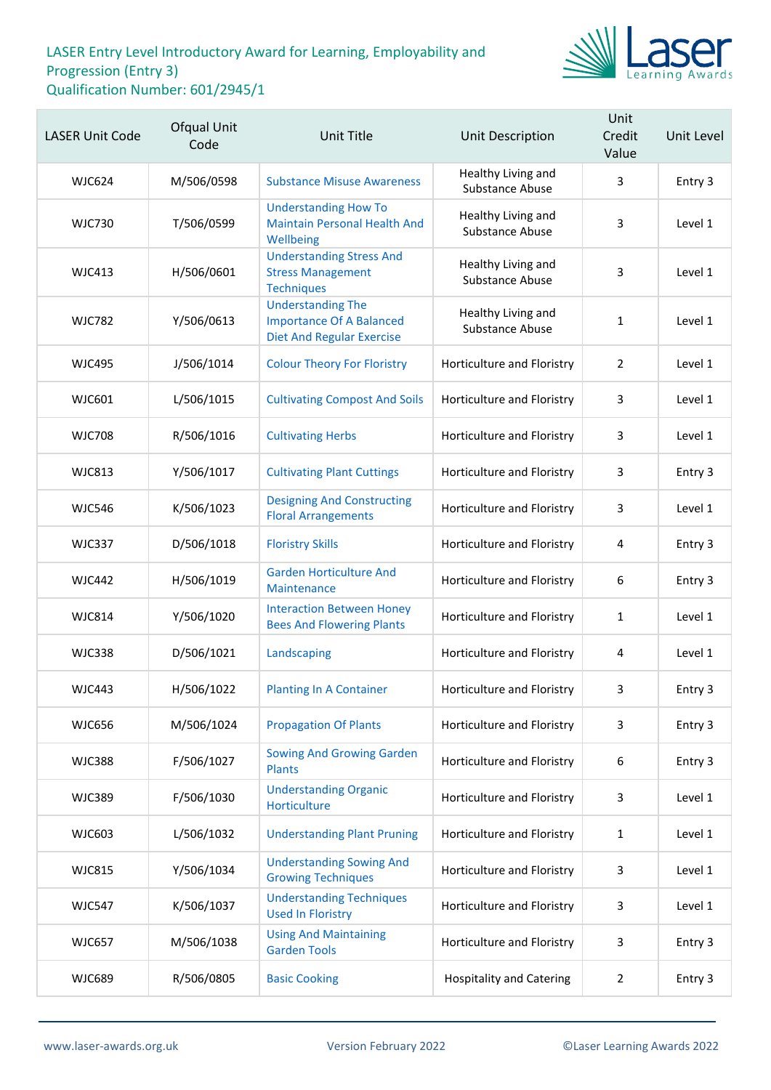

| <b>LASER Unit Code</b> | Ofqual Unit<br>Code | <b>Unit Title</b>                                                                               | Unit Description                      | Unit<br>Credit<br>Value | Unit Level |
|------------------------|---------------------|-------------------------------------------------------------------------------------------------|---------------------------------------|-------------------------|------------|
| <b>WJC624</b>          | M/506/0598          | <b>Substance Misuse Awareness</b>                                                               | Healthy Living and<br>Substance Abuse | 3                       | Entry 3    |
| <b>WJC730</b>          | T/506/0599          | <b>Understanding How To</b><br><b>Maintain Personal Health And</b><br>Wellbeing                 | Healthy Living and<br>Substance Abuse | 3                       | Level 1    |
| <b>WJC413</b>          | H/506/0601          | <b>Understanding Stress And</b><br><b>Stress Management</b><br><b>Techniques</b>                | Healthy Living and<br>Substance Abuse | 3                       | Level 1    |
| <b>WJC782</b>          | Y/506/0613          | <b>Understanding The</b><br><b>Importance Of A Balanced</b><br><b>Diet And Regular Exercise</b> | Healthy Living and<br>Substance Abuse | $\mathbf{1}$            | Level 1    |
| <b>WJC495</b>          | J/506/1014          | <b>Colour Theory For Floristry</b>                                                              | Horticulture and Floristry            | $\overline{2}$          | Level 1    |
| WJC601                 | L/506/1015          | <b>Cultivating Compost And Soils</b>                                                            | Horticulture and Floristry            | 3                       | Level 1    |
| <b>WJC708</b>          | R/506/1016          | <b>Cultivating Herbs</b>                                                                        | Horticulture and Floristry            | 3                       | Level 1    |
| <b>WJC813</b>          | Y/506/1017          | <b>Cultivating Plant Cuttings</b>                                                               | Horticulture and Floristry            | 3                       | Entry 3    |
| <b>WJC546</b>          | K/506/1023          | <b>Designing And Constructing</b><br><b>Floral Arrangements</b>                                 | Horticulture and Floristry            | 3                       | Level 1    |
| <b>WJC337</b>          | D/506/1018          | <b>Floristry Skills</b>                                                                         | Horticulture and Floristry            | 4                       | Entry 3    |
| <b>WJC442</b>          | H/506/1019          | <b>Garden Horticulture And</b><br>Maintenance                                                   | Horticulture and Floristry            | 6                       | Entry 3    |
| <b>WJC814</b>          | Y/506/1020          | <b>Interaction Between Honey</b><br><b>Bees And Flowering Plants</b>                            | Horticulture and Floristry            | $\mathbf{1}$            | Level 1    |
| <b>WJC338</b>          | D/506/1021          | Landscaping                                                                                     | Horticulture and Floristry            | 4                       | Level 1    |
| <b>WJC443</b>          | H/506/1022          | <b>Planting In A Container</b>                                                                  | Horticulture and Floristry            | 3                       | Entry 3    |
| <b>WJC656</b>          | M/506/1024          | <b>Propagation Of Plants</b>                                                                    | Horticulture and Floristry            | 3                       | Entry 3    |
| <b>WJC388</b>          | F/506/1027          | <b>Sowing And Growing Garden</b><br><b>Plants</b>                                               | Horticulture and Floristry            | 6                       | Entry 3    |
| <b>WJC389</b>          | F/506/1030          | <b>Understanding Organic</b><br>Horticulture                                                    | Horticulture and Floristry            | 3                       | Level 1    |
| <b>WJC603</b>          | L/506/1032          | <b>Understanding Plant Pruning</b>                                                              | Horticulture and Floristry            | 1                       | Level 1    |
| <b>WJC815</b>          | Y/506/1034          | <b>Understanding Sowing And</b><br><b>Growing Techniques</b>                                    | Horticulture and Floristry            | 3                       | Level 1    |
| <b>WJC547</b>          | K/506/1037          | <b>Understanding Techniques</b><br><b>Used In Floristry</b>                                     | Horticulture and Floristry            | 3                       | Level 1    |
| <b>WJC657</b>          | M/506/1038          | <b>Using And Maintaining</b><br><b>Garden Tools</b>                                             | Horticulture and Floristry            | 3                       | Entry 3    |
| <b>WJC689</b>          | R/506/0805          | <b>Basic Cooking</b>                                                                            | <b>Hospitality and Catering</b>       | $\overline{2}$          | Entry 3    |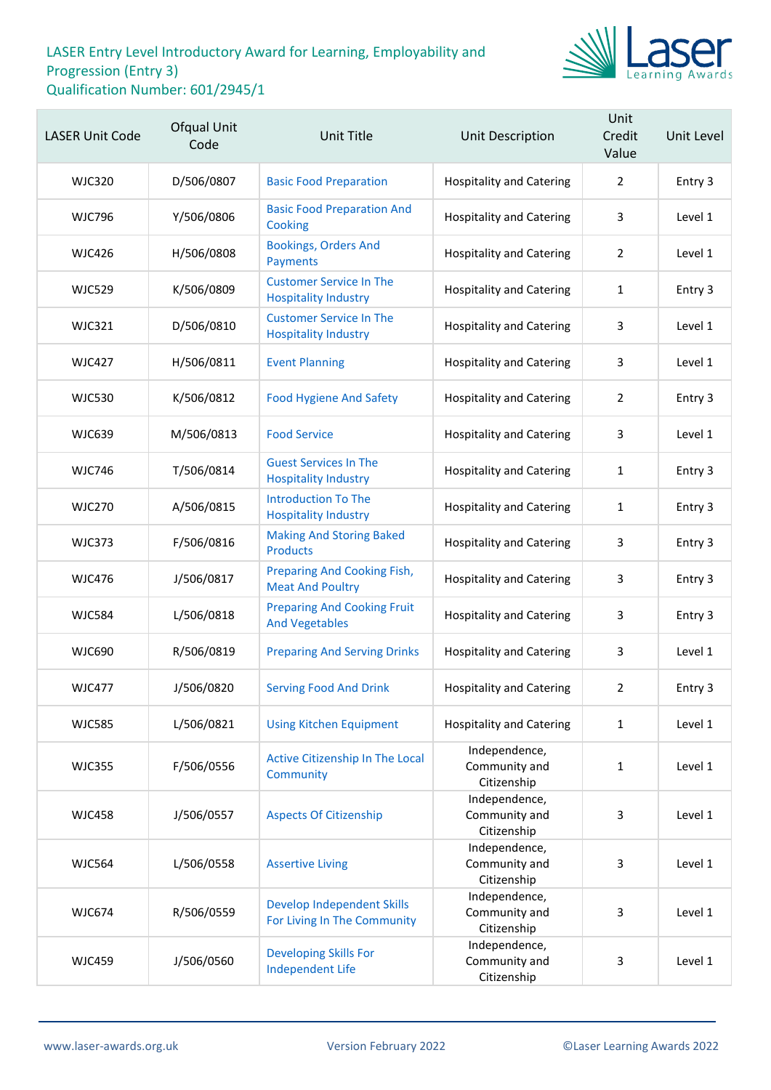

| <b>LASER Unit Code</b> | <b>Ofqual Unit</b><br>Code | Unit Title                                                    | Unit Description                              | Unit<br>Credit<br>Value | Unit Level |
|------------------------|----------------------------|---------------------------------------------------------------|-----------------------------------------------|-------------------------|------------|
| <b>WJC320</b>          | D/506/0807                 | <b>Basic Food Preparation</b>                                 | <b>Hospitality and Catering</b>               | 2                       | Entry 3    |
| <b>WJC796</b>          | Y/506/0806                 | <b>Basic Food Preparation And</b><br>Cooking                  | <b>Hospitality and Catering</b>               | 3                       | Level 1    |
| <b>WJC426</b>          | H/506/0808                 | <b>Bookings, Orders And</b><br>Payments                       | <b>Hospitality and Catering</b>               | 2                       | Level 1    |
| <b>WJC529</b>          | K/506/0809                 | <b>Customer Service In The</b><br><b>Hospitality Industry</b> | <b>Hospitality and Catering</b>               | 1                       | Entry 3    |
| <b>WJC321</b>          | D/506/0810                 | <b>Customer Service In The</b><br><b>Hospitality Industry</b> | <b>Hospitality and Catering</b>               | 3                       | Level 1    |
| <b>WJC427</b>          | H/506/0811                 | <b>Event Planning</b>                                         | <b>Hospitality and Catering</b>               | 3                       | Level 1    |
| <b>WJC530</b>          | K/506/0812                 | <b>Food Hygiene And Safety</b>                                | <b>Hospitality and Catering</b>               | $\overline{2}$          | Entry 3    |
| <b>WJC639</b>          | M/506/0813                 | <b>Food Service</b>                                           | <b>Hospitality and Catering</b>               | 3                       | Level 1    |
| <b>WJC746</b>          | T/506/0814                 | <b>Guest Services In The</b><br><b>Hospitality Industry</b>   | <b>Hospitality and Catering</b>               | 1                       | Entry 3    |
| <b>WJC270</b>          | A/506/0815                 | <b>Introduction To The</b><br><b>Hospitality Industry</b>     | <b>Hospitality and Catering</b>               | 1                       | Entry 3    |
| <b>WJC373</b>          | F/506/0816                 | <b>Making And Storing Baked</b><br><b>Products</b>            | <b>Hospitality and Catering</b>               | 3                       | Entry 3    |
| <b>WJC476</b>          | J/506/0817                 | Preparing And Cooking Fish,<br><b>Meat And Poultry</b>        | <b>Hospitality and Catering</b>               | 3                       | Entry 3    |
| <b>WJC584</b>          | L/506/0818                 | <b>Preparing And Cooking Fruit</b><br><b>And Vegetables</b>   | <b>Hospitality and Catering</b>               | 3                       | Entry 3    |
| <b>WJC690</b>          | R/506/0819                 | <b>Preparing And Serving Drinks</b>                           | <b>Hospitality and Catering</b>               | 3                       | Level 1    |
| <b>WJC477</b>          | J/506/0820                 | <b>Serving Food And Drink</b>                                 | <b>Hospitality and Catering</b>               | $\overline{2}$          | Entry 3    |
| <b>WJC585</b>          | L/506/0821                 | <b>Using Kitchen Equipment</b>                                | <b>Hospitality and Catering</b>               | $\mathbf{1}$            | Level 1    |
| <b>WJC355</b>          | F/506/0556                 | Active Citizenship In The Local<br>Community                  | Independence,<br>Community and<br>Citizenship | $\mathbf{1}$            | Level 1    |
| <b>WJC458</b>          | J/506/0557                 | <b>Aspects Of Citizenship</b>                                 | Independence,<br>Community and<br>Citizenship | 3                       | Level 1    |
| <b>WJC564</b>          | L/506/0558                 | <b>Assertive Living</b>                                       | Independence,<br>Community and<br>Citizenship | 3                       | Level 1    |
| <b>WJC674</b>          | R/506/0559                 | Develop Independent Skills<br>For Living In The Community     | Independence,<br>Community and<br>Citizenship | 3                       | Level 1    |
| <b>WJC459</b>          | J/506/0560                 | <b>Developing Skills For</b><br><b>Independent Life</b>       | Independence,<br>Community and<br>Citizenship | 3                       | Level 1    |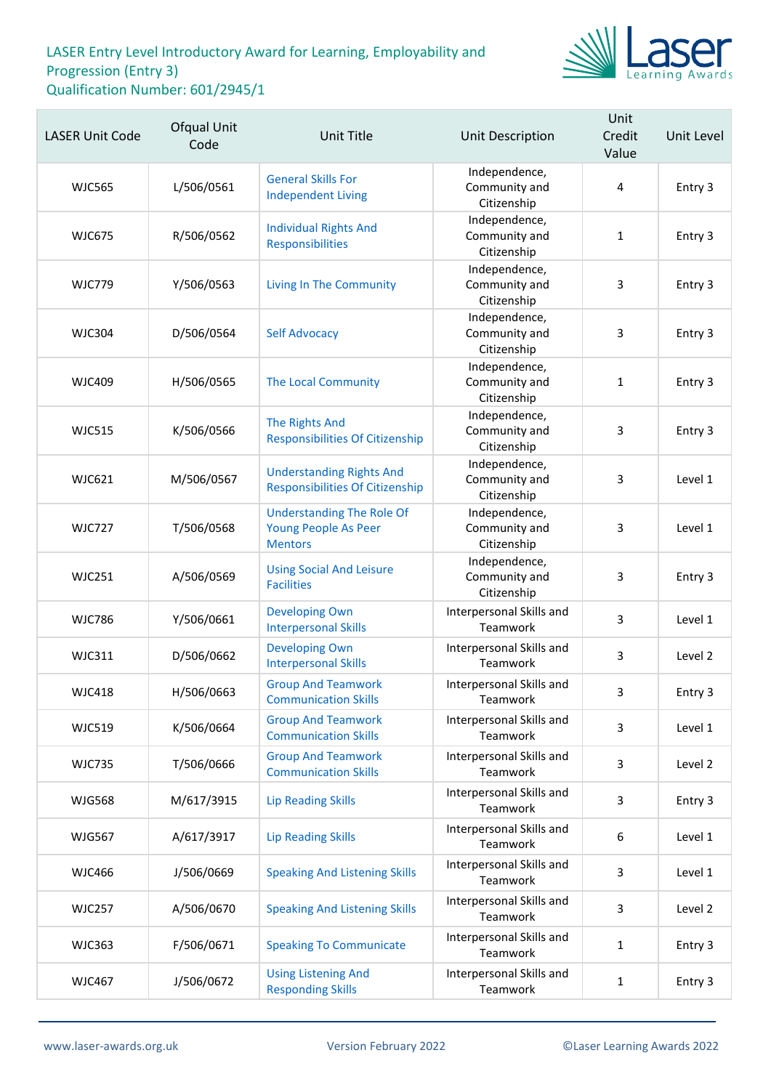

| <b>LASER Unit Code</b> | Ofqual Unit<br>Code | <b>Unit Title</b>                                                          | <b>Unit Description</b>                       | Unit<br>Credit<br>Value | Unit Level |
|------------------------|---------------------|----------------------------------------------------------------------------|-----------------------------------------------|-------------------------|------------|
| <b>WJC565</b>          | L/506/0561          | <b>General Skills For</b><br><b>Independent Living</b>                     | Independence,<br>Community and<br>Citizenship | $\overline{4}$          | Entry 3    |
| <b>WJC675</b>          | R/506/0562          | <b>Individual Rights And</b><br>Responsibilities                           | Independence,<br>Community and<br>Citizenship | $\mathbf{1}$            | Entry 3    |
| <b>WJC779</b>          | Y/506/0563          | <b>Living In The Community</b>                                             | Independence,<br>Community and<br>Citizenship | 3                       | Entry 3    |
| <b>WJC304</b>          | D/506/0564          | <b>Self Advocacy</b>                                                       | Independence,<br>Community and<br>Citizenship | 3                       | Entry 3    |
| <b>WJC409</b>          | H/506/0565          | The Local Community                                                        | Independence,<br>Community and<br>Citizenship | $\mathbf{1}$            | Entry 3    |
| <b>WJC515</b>          | K/506/0566          | The Rights And<br><b>Responsibilities Of Citizenship</b>                   | Independence,<br>Community and<br>Citizenship | 3                       | Entry 3    |
| <b>WJC621</b>          | M/506/0567          | <b>Understanding Rights And</b><br><b>Responsibilities Of Citizenship</b>  | Independence,<br>Community and<br>Citizenship | 3                       | Level 1    |
| <b>WJC727</b>          | T/506/0568          | <b>Understanding The Role Of</b><br>Young People As Peer<br><b>Mentors</b> | Independence,<br>Community and<br>Citizenship | 3                       | Level 1    |
| <b>WJC251</b>          | A/506/0569          | <b>Using Social And Leisure</b><br><b>Facilities</b>                       | Independence,<br>Community and<br>Citizenship | 3                       | Entry 3    |
| <b>WJC786</b>          | Y/506/0661          | <b>Developing Own</b><br><b>Interpersonal Skills</b>                       | Interpersonal Skills and<br>Teamwork          | 3                       | Level 1    |
| <b>WJC311</b>          | D/506/0662          | <b>Developing Own</b><br><b>Interpersonal Skills</b>                       | Interpersonal Skills and<br>Teamwork          | 3                       | Level 2    |
| <b>WJC418</b>          | H/506/0663          | <b>Group And Teamwork</b><br><b>Communication Skills</b>                   | Interpersonal Skills and<br>Teamwork          | 3                       | Entry 3    |
| <b>WJC519</b>          | K/506/0664          | <b>Group And Teamwork</b><br><b>Communication Skills</b>                   | Interpersonal Skills and<br>Teamwork          | 3                       | Level 1    |
| <b>WJC735</b>          | T/506/0666          | <b>Group And Teamwork</b><br><b>Communication Skills</b>                   | Interpersonal Skills and<br>Teamwork          | 3                       | Level 2    |
| <b>WJG568</b>          | M/617/3915          | <b>Lip Reading Skills</b>                                                  | Interpersonal Skills and<br>Teamwork          | 3                       | Entry 3    |
| <b>WJG567</b>          | A/617/3917          | <b>Lip Reading Skills</b>                                                  | Interpersonal Skills and<br>Teamwork          | 6                       | Level 1    |
| <b>WJC466</b>          | J/506/0669          | <b>Speaking And Listening Skills</b>                                       | Interpersonal Skills and<br>Teamwork          | 3                       | Level 1    |
| <b>WJC257</b>          | A/506/0670          | <b>Speaking And Listening Skills</b>                                       | Interpersonal Skills and<br>Teamwork          | 3                       | Level 2    |
| <b>WJC363</b>          | F/506/0671          | <b>Speaking To Communicate</b>                                             | Interpersonal Skills and<br>Teamwork          | $\mathbf{1}$            | Entry 3    |
| <b>WJC467</b>          | J/506/0672          | <b>Using Listening And</b><br><b>Responding Skills</b>                     | Interpersonal Skills and<br>Teamwork          | $\mathbf{1}$            | Entry 3    |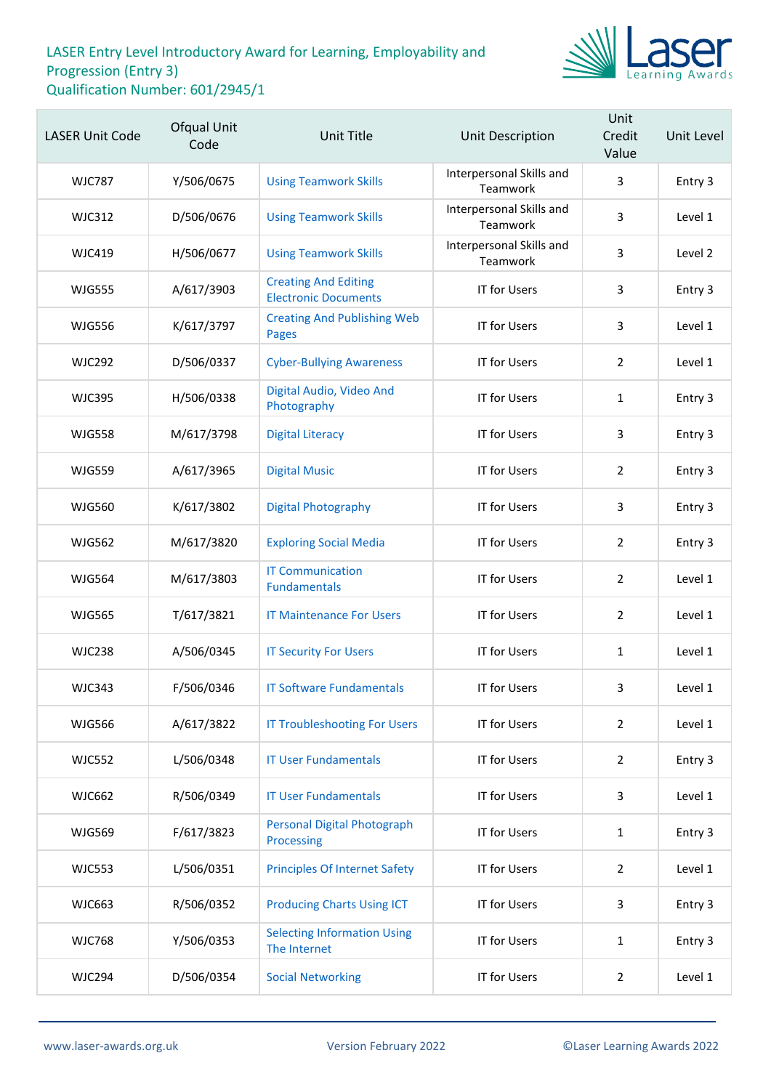

| <b>LASER Unit Code</b> | Ofqual Unit<br>Code | <b>Unit Title</b>                                          | Unit Description                     | Unit<br>Credit<br>Value | Unit Level |
|------------------------|---------------------|------------------------------------------------------------|--------------------------------------|-------------------------|------------|
| <b>WJC787</b>          | Y/506/0675          | <b>Using Teamwork Skills</b>                               | Interpersonal Skills and<br>Teamwork | 3                       | Entry 3    |
| <b>WJC312</b>          | D/506/0676          | <b>Using Teamwork Skills</b>                               | Interpersonal Skills and<br>Teamwork | 3                       | Level 1    |
| <b>WJC419</b>          | H/506/0677          | <b>Using Teamwork Skills</b>                               | Interpersonal Skills and<br>Teamwork | $\overline{3}$          | Level 2    |
| <b>WJG555</b>          | A/617/3903          | <b>Creating And Editing</b><br><b>Electronic Documents</b> | <b>IT for Users</b>                  | 3                       | Entry 3    |
| <b>WJG556</b>          | K/617/3797          | <b>Creating And Publishing Web</b><br><b>Pages</b>         | <b>IT for Users</b>                  | 3                       | Level 1    |
| <b>WJC292</b>          | D/506/0337          | <b>Cyber-Bullying Awareness</b>                            | <b>IT for Users</b>                  | $\overline{2}$          | Level 1    |
| <b>WJC395</b>          | H/506/0338          | Digital Audio, Video And<br>Photography                    | <b>IT for Users</b>                  | $\mathbf{1}$            | Entry 3    |
| <b>WJG558</b>          | M/617/3798          | <b>Digital Literacy</b>                                    | <b>IT for Users</b>                  | 3                       | Entry 3    |
| <b>WJG559</b>          | A/617/3965          | <b>Digital Music</b>                                       | <b>IT for Users</b>                  | $\overline{2}$          | Entry 3    |
| <b>WJG560</b>          | K/617/3802          | <b>Digital Photography</b>                                 | IT for Users                         | 3                       | Entry 3    |
| <b>WJG562</b>          | M/617/3820          | <b>Exploring Social Media</b>                              | <b>IT for Users</b>                  | $\overline{2}$          | Entry 3    |
| <b>WJG564</b>          | M/617/3803          | <b>IT Communication</b><br><b>Fundamentals</b>             | <b>IT for Users</b>                  | $\overline{2}$          | Level 1    |
| <b>WJG565</b>          | T/617/3821          | <b>IT Maintenance For Users</b>                            | <b>IT for Users</b>                  | $\overline{2}$          | Level 1    |
| <b>WJC238</b>          | A/506/0345          | <b>IT Security For Users</b>                               | <b>IT for Users</b>                  | $\mathbf{1}$            | Level 1    |
| <b>WJC343</b>          | F/506/0346          | <b>IT Software Fundamentals</b>                            | <b>IT for Users</b>                  | 3                       | Level 1    |
| <b>WJG566</b>          | A/617/3822          | <b>IT Troubleshooting For Users</b>                        | <b>IT for Users</b>                  | $\overline{2}$          | Level 1    |
| <b>WJC552</b>          | L/506/0348          | <b>IT User Fundamentals</b>                                | <b>IT for Users</b>                  | $\overline{2}$          | Entry 3    |
| <b>WJC662</b>          | R/506/0349          | <b>IT User Fundamentals</b>                                | <b>IT for Users</b>                  | 3                       | Level 1    |
| <b>WJG569</b>          | F/617/3823          | <b>Personal Digital Photograph</b><br>Processing           | <b>IT for Users</b>                  | $\mathbf{1}$            | Entry 3    |
| <b>WJC553</b>          | L/506/0351          | <b>Principles Of Internet Safety</b>                       | <b>IT for Users</b>                  | $\overline{2}$          | Level 1    |
| WJC663                 | R/506/0352          | <b>Producing Charts Using ICT</b>                          | IT for Users                         | 3                       | Entry 3    |
| <b>WJC768</b>          | Y/506/0353          | <b>Selecting Information Using</b><br>The Internet         | <b>IT for Users</b>                  | $\mathbf{1}$            | Entry 3    |
| <b>WJC294</b>          | D/506/0354          | <b>Social Networking</b>                                   | <b>IT for Users</b>                  | $\overline{2}$          | Level 1    |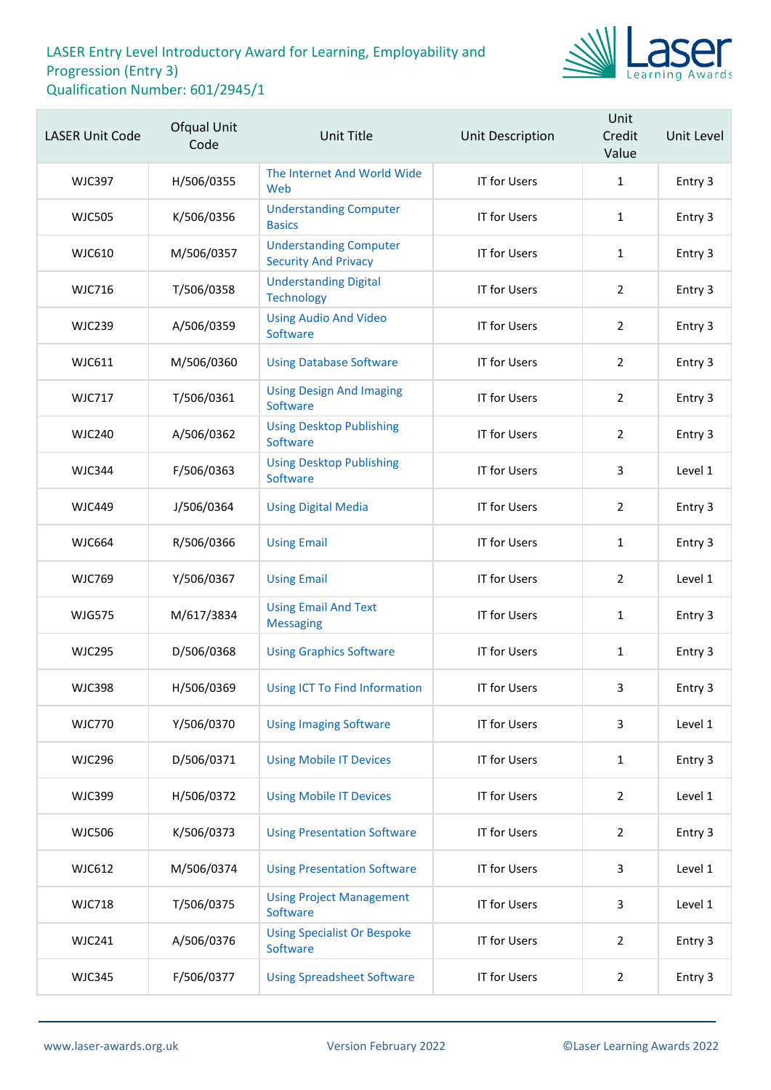

| <b>LASER Unit Code</b> | Ofqual Unit<br>Code | Unit Title                                                   | Unit Description    | Unit<br>Credit<br>Value | Unit Level |
|------------------------|---------------------|--------------------------------------------------------------|---------------------|-------------------------|------------|
| <b>WJC397</b>          | H/506/0355          | The Internet And World Wide<br>Web                           | <b>IT for Users</b> | $\mathbf{1}$            | Entry 3    |
| <b>WJC505</b>          | K/506/0356          | <b>Understanding Computer</b><br><b>Basics</b>               | <b>IT for Users</b> | $\mathbf{1}$            | Entry 3    |
| <b>WJC610</b>          | M/506/0357          | <b>Understanding Computer</b><br><b>Security And Privacy</b> | <b>IT for Users</b> | $\mathbf{1}$            | Entry 3    |
| <b>WJC716</b>          | T/506/0358          | <b>Understanding Digital</b><br><b>Technology</b>            | <b>IT for Users</b> | $\overline{2}$          | Entry 3    |
| <b>WJC239</b>          | A/506/0359          | <b>Using Audio And Video</b><br>Software                     | <b>IT for Users</b> | $\overline{2}$          | Entry 3    |
| WJC611                 | M/506/0360          | <b>Using Database Software</b>                               | IT for Users        | $\overline{2}$          | Entry 3    |
| <b>WJC717</b>          | T/506/0361          | <b>Using Design And Imaging</b><br>Software                  | <b>IT for Users</b> | $\overline{2}$          | Entry 3    |
| <b>WJC240</b>          | A/506/0362          | <b>Using Desktop Publishing</b><br>Software                  | <b>IT for Users</b> | $\overline{2}$          | Entry 3    |
| <b>WJC344</b>          | F/506/0363          | <b>Using Desktop Publishing</b><br>Software                  | IT for Users        | 3                       | Level 1    |
| <b>WJC449</b>          | J/506/0364          | <b>Using Digital Media</b>                                   | IT for Users        | $\overline{2}$          | Entry 3    |
| <b>WJC664</b>          | R/506/0366          | <b>Using Email</b>                                           | <b>IT for Users</b> | $\mathbf{1}$            | Entry 3    |
| <b>WJC769</b>          | Y/506/0367          | <b>Using Email</b>                                           | IT for Users        | $\overline{2}$          | Level 1    |
| <b>WJG575</b>          | M/617/3834          | <b>Using Email And Text</b><br><b>Messaging</b>              | <b>IT for Users</b> | $\mathbf{1}$            | Entry 3    |
| <b>WJC295</b>          | D/506/0368          | <b>Using Graphics Software</b>                               | <b>IT for Users</b> | 1                       | Entry 3    |
| <b>WJC398</b>          | H/506/0369          | Using ICT To Find Information                                | IT for Users        | 3                       | Entry 3    |
| <b>WJC770</b>          | Y/506/0370          | <b>Using Imaging Software</b>                                | IT for Users        | 3                       | Level 1    |
| <b>WJC296</b>          | D/506/0371          | <b>Using Mobile IT Devices</b>                               | IT for Users        | $\mathbf{1}$            | Entry 3    |
| <b>WJC399</b>          | H/506/0372          | <b>Using Mobile IT Devices</b>                               | IT for Users        | $\overline{2}$          | Level 1    |
| <b>WJC506</b>          | K/506/0373          | <b>Using Presentation Software</b>                           | <b>IT for Users</b> | $\overline{2}$          | Entry 3    |
| <b>WJC612</b>          | M/506/0374          | <b>Using Presentation Software</b>                           | IT for Users        | 3                       | Level 1    |
| <b>WJC718</b>          | T/506/0375          | <b>Using Project Management</b><br>Software                  | <b>IT for Users</b> | 3                       | Level 1    |
| <b>WJC241</b>          | A/506/0376          | <b>Using Specialist Or Bespoke</b><br>Software               | IT for Users        | $\overline{2}$          | Entry 3    |
| <b>WJC345</b>          | F/506/0377          | <b>Using Spreadsheet Software</b>                            | <b>IT for Users</b> | $\overline{2}$          | Entry 3    |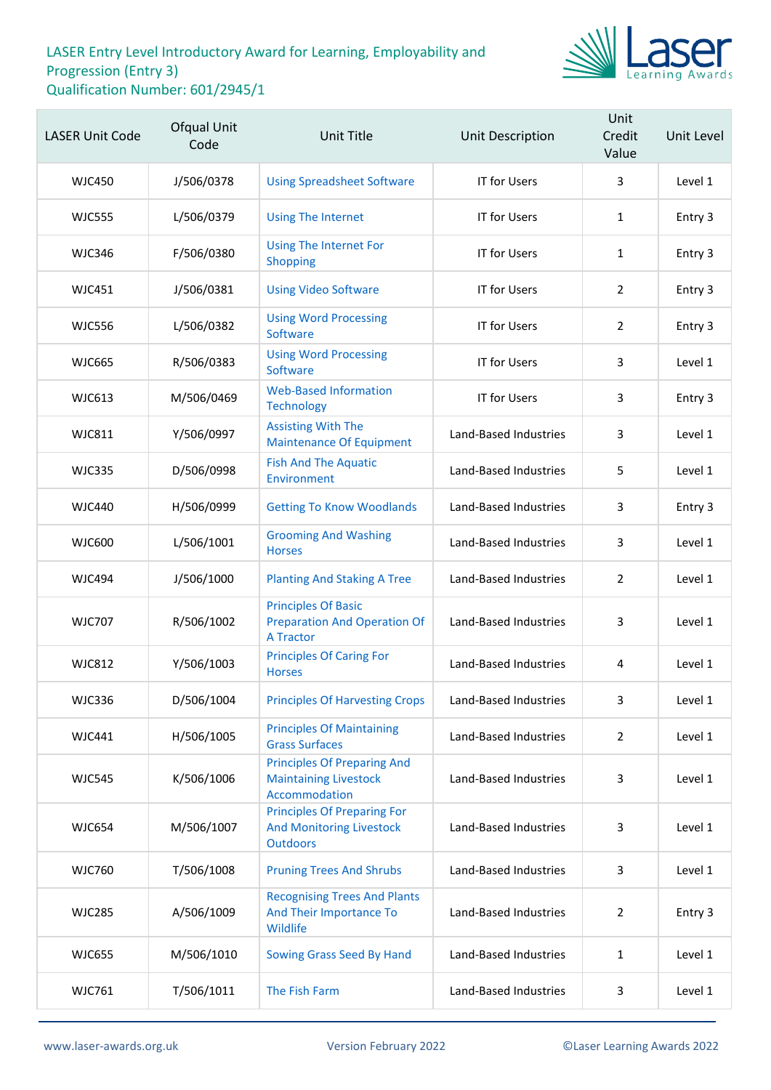

| <b>LASER Unit Code</b> | Ofqual Unit<br>Code | <b>Unit Title</b>                                                                        | Unit Description      | Unit<br>Credit<br>Value | Unit Level |
|------------------------|---------------------|------------------------------------------------------------------------------------------|-----------------------|-------------------------|------------|
| <b>WJC450</b>          | J/506/0378          | <b>Using Spreadsheet Software</b>                                                        | <b>IT for Users</b>   | 3                       | Level 1    |
| <b>WJC555</b>          | L/506/0379          | <b>Using The Internet</b>                                                                | <b>IT for Users</b>   | $\mathbf{1}$            | Entry 3    |
| <b>WJC346</b>          | F/506/0380          | <b>Using The Internet For</b><br>Shopping                                                | <b>IT for Users</b>   | $\mathbf{1}$            | Entry 3    |
| <b>WJC451</b>          | J/506/0381          | <b>Using Video Software</b>                                                              | <b>IT for Users</b>   | $\overline{2}$          | Entry 3    |
| <b>WJC556</b>          | L/506/0382          | <b>Using Word Processing</b><br>Software                                                 | <b>IT for Users</b>   | $\overline{2}$          | Entry 3    |
| <b>WJC665</b>          | R/506/0383          | <b>Using Word Processing</b><br>Software                                                 | <b>IT for Users</b>   | 3                       | Level 1    |
| <b>WJC613</b>          | M/506/0469          | <b>Web-Based Information</b><br><b>Technology</b>                                        | IT for Users          | 3                       | Entry 3    |
| <b>WJC811</b>          | Y/506/0997          | <b>Assisting With The</b><br><b>Maintenance Of Equipment</b>                             | Land-Based Industries | 3                       | Level 1    |
| <b>WJC335</b>          | D/506/0998          | <b>Fish And The Aquatic</b><br>Environment                                               | Land-Based Industries | 5                       | Level 1    |
| <b>WJC440</b>          | H/506/0999          | <b>Getting To Know Woodlands</b>                                                         | Land-Based Industries | 3                       | Entry 3    |
| <b>WJC600</b>          | L/506/1001          | <b>Grooming And Washing</b><br><b>Horses</b>                                             | Land-Based Industries | 3                       | Level 1    |
| <b>WJC494</b>          | J/506/1000          | <b>Planting And Staking A Tree</b>                                                       | Land-Based Industries | $\overline{2}$          | Level 1    |
| <b>WJC707</b>          | R/506/1002          | <b>Principles Of Basic</b><br><b>Preparation And Operation Of</b><br><b>A Tractor</b>    | Land-Based Industries | 3                       | Level 1    |
| <b>WJC812</b>          | Y/506/1003          | <b>Principles Of Caring For</b><br><b>Horses</b>                                         | Land-Based Industries | 4                       | Level 1    |
| <b>WJC336</b>          | D/506/1004          | <b>Principles Of Harvesting Crops</b>                                                    | Land-Based Industries | 3                       | Level 1    |
| WJC441                 | H/506/1005          | <b>Principles Of Maintaining</b><br><b>Grass Surfaces</b>                                | Land-Based Industries | $\overline{2}$          | Level 1    |
| <b>WJC545</b>          | K/506/1006          | <b>Principles Of Preparing And</b><br><b>Maintaining Livestock</b><br>Accommodation      | Land-Based Industries | 3                       | Level 1    |
| <b>WJC654</b>          | M/506/1007          | <b>Principles Of Preparing For</b><br><b>And Monitoring Livestock</b><br><b>Outdoors</b> | Land-Based Industries | 3                       | Level 1    |
| <b>WJC760</b>          | T/506/1008          | <b>Pruning Trees And Shrubs</b>                                                          | Land-Based Industries | 3                       | Level 1    |
| <b>WJC285</b>          | A/506/1009          | <b>Recognising Trees And Plants</b><br>And Their Importance To<br>Wildlife               | Land-Based Industries | $\overline{2}$          | Entry 3    |
| <b>WJC655</b>          | M/506/1010          | Sowing Grass Seed By Hand                                                                | Land-Based Industries | $\mathbf{1}$            | Level 1    |
| <b>WJC761</b>          | T/506/1011          | The Fish Farm                                                                            | Land-Based Industries | 3                       | Level 1    |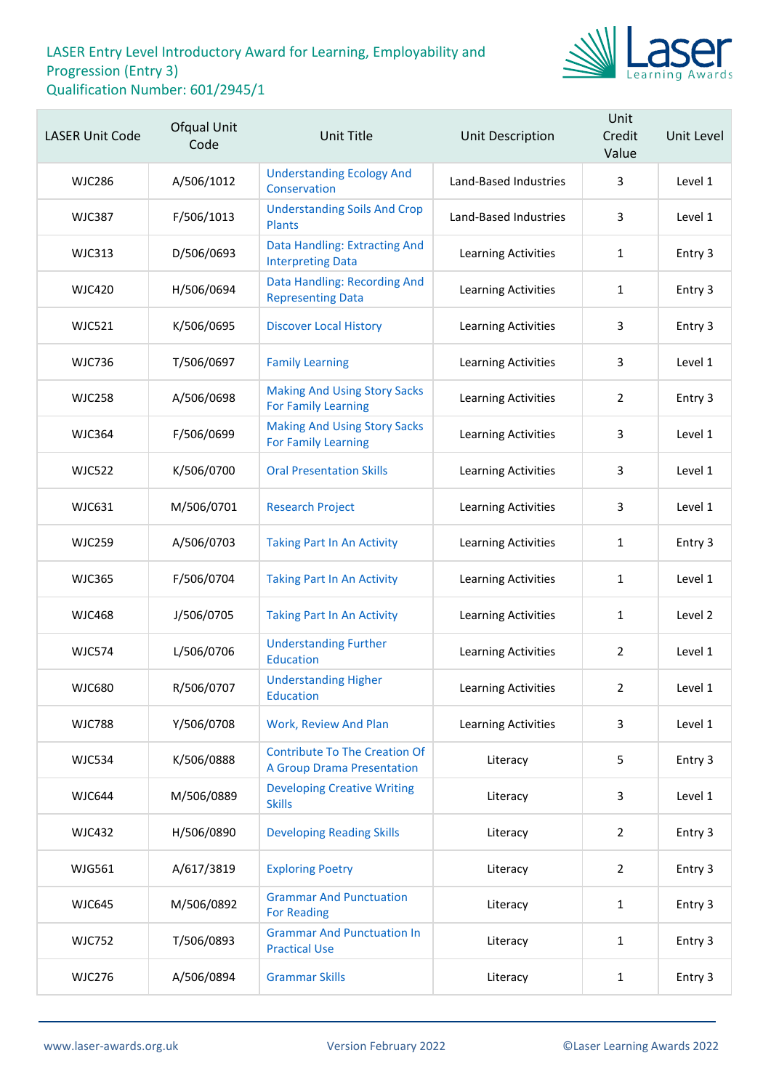

| <b>LASER Unit Code</b> | Ofqual Unit<br>Code | <b>Unit Title</b>                                                         | Unit Description      | Unit<br>Credit<br>Value | Unit Level |
|------------------------|---------------------|---------------------------------------------------------------------------|-----------------------|-------------------------|------------|
| <b>WJC286</b>          | A/506/1012          | <b>Understanding Ecology And</b><br>Conservation                          | Land-Based Industries | 3                       | Level 1    |
| <b>WJC387</b>          | F/506/1013          | <b>Understanding Soils And Crop</b><br><b>Plants</b>                      | Land-Based Industries | 3                       | Level 1    |
| <b>WJC313</b>          | D/506/0693          | Data Handling: Extracting And<br><b>Interpreting Data</b>                 | Learning Activities   | $\mathbf{1}$            | Entry 3    |
| <b>WJC420</b>          | H/506/0694          | Data Handling: Recording And<br><b>Representing Data</b>                  | Learning Activities   | $\mathbf{1}$            | Entry 3    |
| <b>WJC521</b>          | K/506/0695          | <b>Discover Local History</b>                                             | Learning Activities   | 3                       | Entry 3    |
| <b>WJC736</b>          | T/506/0697          | <b>Family Learning</b>                                                    | Learning Activities   | 3                       | Level 1    |
| <b>WJC258</b>          | A/506/0698          | <b>Making And Using Story Sacks</b><br><b>For Family Learning</b>         | Learning Activities   | $\overline{2}$          | Entry 3    |
| <b>WJC364</b>          | F/506/0699          | <b>Making And Using Story Sacks</b><br><b>For Family Learning</b>         | Learning Activities   | 3                       | Level 1    |
| <b>WJC522</b>          | K/506/0700          | <b>Oral Presentation Skills</b>                                           | Learning Activities   | 3                       | Level 1    |
| <b>WJC631</b>          | M/506/0701          | <b>Research Project</b>                                                   | Learning Activities   | 3                       | Level 1    |
| <b>WJC259</b>          | A/506/0703          | <b>Taking Part In An Activity</b>                                         | Learning Activities   | $\mathbf{1}$            | Entry 3    |
| <b>WJC365</b>          | F/506/0704          | <b>Taking Part In An Activity</b>                                         | Learning Activities   | $\mathbf{1}$            | Level 1    |
| <b>WJC468</b>          | J/506/0705          | <b>Taking Part In An Activity</b>                                         | Learning Activities   | 1                       | Level 2    |
| <b>WJC574</b>          | L/506/0706          | <b>Understanding Further</b><br><b>Education</b>                          | Learning Activities   | $\overline{2}$          | Level 1    |
| <b>WJC680</b>          | R/506/0707          | <b>Understanding Higher</b><br>Education                                  | Learning Activities   | 2                       | Level 1    |
| <b>WJC788</b>          | Y/506/0708          | Work, Review And Plan                                                     | Learning Activities   | 3                       | Level 1    |
| <b>WJC534</b>          | K/506/0888          | <b>Contribute To The Creation Of</b><br><b>A Group Drama Presentation</b> | Literacy              | 5                       | Entry 3    |
| <b>WJC644</b>          | M/506/0889          | <b>Developing Creative Writing</b><br><b>Skills</b>                       | Literacy              | 3                       | Level 1    |
| <b>WJC432</b>          | H/506/0890          | <b>Developing Reading Skills</b>                                          | Literacy              | $\overline{2}$          | Entry 3    |
| <b>WJG561</b>          | A/617/3819          | <b>Exploring Poetry</b>                                                   | Literacy              | $\overline{2}$          | Entry 3    |
| <b>WJC645</b>          | M/506/0892          | <b>Grammar And Punctuation</b><br><b>For Reading</b>                      | Literacy              | $\mathbf{1}$            | Entry 3    |
| <b>WJC752</b>          | T/506/0893          | <b>Grammar And Punctuation In</b><br><b>Practical Use</b>                 | Literacy              | $\mathbf{1}$            | Entry 3    |
| <b>WJC276</b>          | A/506/0894          | <b>Grammar Skills</b>                                                     | Literacy              | $\mathbf{1}$            | Entry 3    |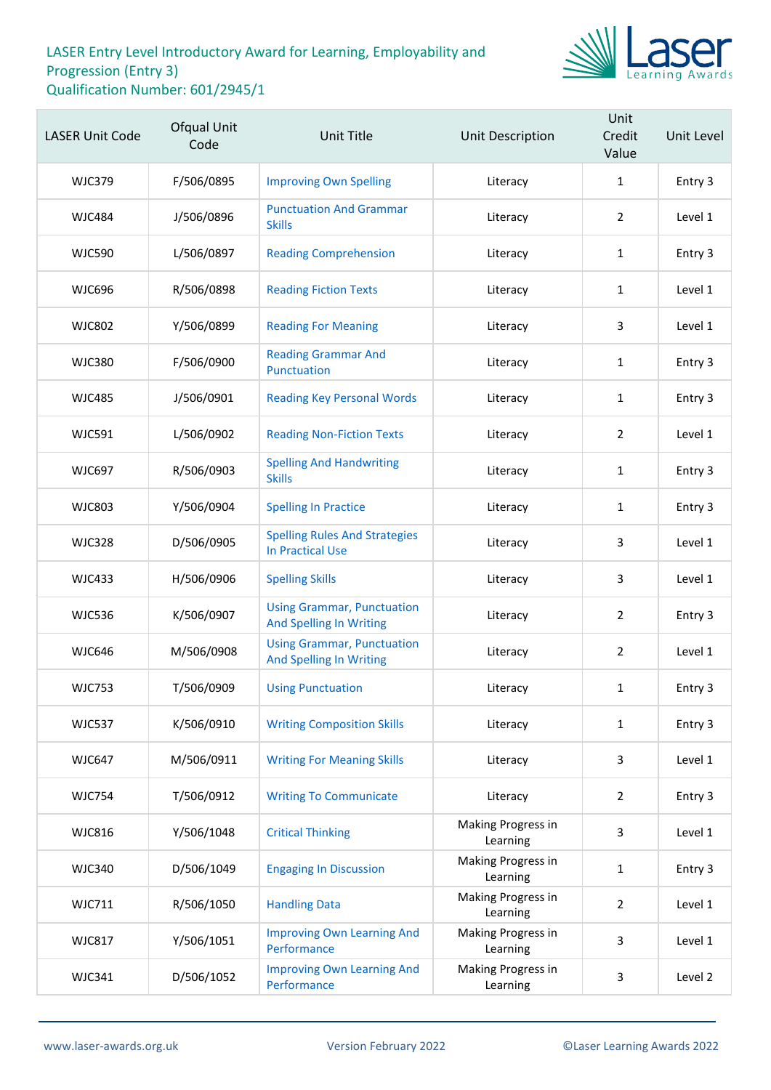

| <b>LASER Unit Code</b> | Ofqual Unit<br>Code | <b>Unit Title</b>                                                   | Unit Description               | Unit<br>Credit<br>Value | Unit Level |
|------------------------|---------------------|---------------------------------------------------------------------|--------------------------------|-------------------------|------------|
| <b>WJC379</b>          | F/506/0895          | <b>Improving Own Spelling</b>                                       | Literacy                       | $\mathbf{1}$            | Entry 3    |
| <b>WJC484</b>          | J/506/0896          | <b>Punctuation And Grammar</b><br><b>Skills</b>                     | Literacy                       | $\overline{2}$          | Level 1    |
| <b>WJC590</b>          | L/506/0897          | <b>Reading Comprehension</b>                                        | Literacy                       | $\mathbf{1}$            | Entry 3    |
| <b>WJC696</b>          | R/506/0898          | <b>Reading Fiction Texts</b>                                        | Literacy                       | $\mathbf{1}$            | Level 1    |
| <b>WJC802</b>          | Y/506/0899          | <b>Reading For Meaning</b>                                          | Literacy                       | 3                       | Level 1    |
| <b>WJC380</b>          | F/506/0900          | <b>Reading Grammar And</b><br>Punctuation                           | Literacy                       | $\mathbf{1}$            | Entry 3    |
| <b>WJC485</b>          | J/506/0901          | <b>Reading Key Personal Words</b>                                   | Literacy                       | 1                       | Entry 3    |
| <b>WJC591</b>          | L/506/0902          | <b>Reading Non-Fiction Texts</b>                                    | Literacy                       | $\overline{2}$          | Level 1    |
| <b>WJC697</b>          | R/506/0903          | <b>Spelling And Handwriting</b><br><b>Skills</b>                    | Literacy                       | $\mathbf{1}$            | Entry 3    |
| <b>WJC803</b>          | Y/506/0904          | <b>Spelling In Practice</b>                                         | Literacy                       | $\mathbf{1}$            | Entry 3    |
| <b>WJC328</b>          | D/506/0905          | <b>Spelling Rules And Strategies</b><br><b>In Practical Use</b>     | Literacy                       | 3                       | Level 1    |
| <b>WJC433</b>          | H/506/0906          | <b>Spelling Skills</b>                                              | Literacy                       | 3                       | Level 1    |
| <b>WJC536</b>          | K/506/0907          | <b>Using Grammar, Punctuation</b><br><b>And Spelling In Writing</b> | Literacy                       | $\overline{2}$          | Entry 3    |
| <b>WJC646</b>          | M/506/0908          | <b>Using Grammar, Punctuation</b><br><b>And Spelling In Writing</b> | Literacy                       | $\overline{2}$          | Level 1    |
| <b>WJC753</b>          | T/506/0909          | <b>Using Punctuation</b>                                            | Literacy                       | $\mathbf{1}$            | Entry 3    |
| <b>WJC537</b>          | K/506/0910          | <b>Writing Composition Skills</b>                                   | Literacy                       | $\mathbf{1}$            | Entry 3    |
| <b>WJC647</b>          | M/506/0911          | <b>Writing For Meaning Skills</b>                                   | Literacy                       | 3                       | Level 1    |
| <b>WJC754</b>          | T/506/0912          | <b>Writing To Communicate</b>                                       | Literacy                       | $\overline{2}$          | Entry 3    |
| <b>WJC816</b>          | Y/506/1048          | <b>Critical Thinking</b>                                            | Making Progress in<br>Learning | 3                       | Level 1    |
| <b>WJC340</b>          | D/506/1049          | <b>Engaging In Discussion</b>                                       | Making Progress in<br>Learning | $\mathbf{1}$            | Entry 3    |
| <b>WJC711</b>          | R/506/1050          | <b>Handling Data</b>                                                | Making Progress in<br>Learning | $\overline{2}$          | Level 1    |
| <b>WJC817</b>          | Y/506/1051          | <b>Improving Own Learning And</b><br>Performance                    | Making Progress in<br>Learning | 3                       | Level 1    |
| <b>WJC341</b>          | D/506/1052          | <b>Improving Own Learning And</b><br>Performance                    | Making Progress in<br>Learning | 3                       | Level 2    |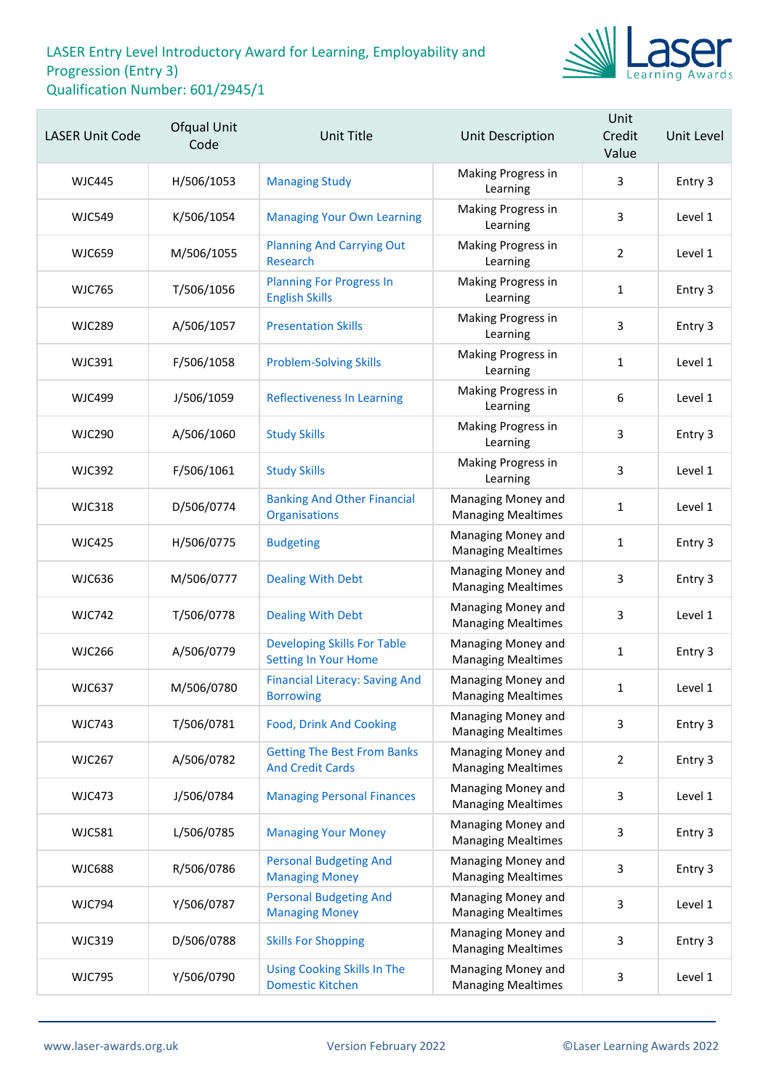

| <b>LASER Unit Code</b> | Ofqual Unit<br>Code | <b>Unit Title</b>                                             | <b>Unit Description</b>                         | Unit<br>Credit<br>Value | Unit Level |
|------------------------|---------------------|---------------------------------------------------------------|-------------------------------------------------|-------------------------|------------|
| <b>WJC445</b>          | H/506/1053          | <b>Managing Study</b>                                         | Making Progress in<br>Learning                  | 3                       | Entry 3    |
| <b>WJC549</b>          | K/506/1054          | <b>Managing Your Own Learning</b>                             | Making Progress in<br>Learning                  | 3                       | Level 1    |
| <b>WJC659</b>          | M/506/1055          | <b>Planning And Carrying Out</b><br>Research                  | Making Progress in<br>Learning                  | 2                       | Level 1    |
| <b>WJC765</b>          | T/506/1056          | <b>Planning For Progress In</b><br><b>English Skills</b>      | Making Progress in<br>Learning                  | 1                       | Entry 3    |
| <b>WJC289</b>          | A/506/1057          | <b>Presentation Skills</b>                                    | Making Progress in<br>Learning                  | 3                       | Entry 3    |
| <b>WJC391</b>          | F/506/1058          | <b>Problem-Solving Skills</b>                                 | Making Progress in<br>Learning                  | $\mathbf{1}$            | Level 1    |
| <b>WJC499</b>          | J/506/1059          | <b>Reflectiveness In Learning</b>                             | Making Progress in<br>Learning                  | $\boldsymbol{6}$        | Level 1    |
| <b>WJC290</b>          | A/506/1060          | <b>Study Skills</b>                                           | Making Progress in<br>Learning                  | 3                       | Entry 3    |
| <b>WJC392</b>          | F/506/1061          | <b>Study Skills</b>                                           | Making Progress in<br>Learning                  | 3                       | Level 1    |
| <b>WJC318</b>          | D/506/0774          | <b>Banking And Other Financial</b><br>Organisations           | Managing Money and<br><b>Managing Mealtimes</b> | 1                       | Level 1    |
| <b>WJC425</b>          | H/506/0775          | <b>Budgeting</b>                                              | Managing Money and<br><b>Managing Mealtimes</b> | $\mathbf{1}$            | Entry 3    |
| <b>WJC636</b>          | M/506/0777          | <b>Dealing With Debt</b>                                      | Managing Money and<br><b>Managing Mealtimes</b> | 3                       | Entry 3    |
| <b>WJC742</b>          | T/506/0778          | <b>Dealing With Debt</b>                                      | Managing Money and<br><b>Managing Mealtimes</b> | 3                       | Level 1    |
| <b>WJC266</b>          | A/506/0779          | <b>Developing Skills For Table</b><br>Setting In Your Home    | Managing Money and<br><b>Managing Mealtimes</b> | $\mathbf{1}$            | Entry 3    |
| <b>WJC637</b>          | M/506/0780          | <b>Financial Literacy: Saving And</b><br><b>Borrowing</b>     | Managing Money and<br><b>Managing Mealtimes</b> | 1                       | Level 1    |
| <b>WJC743</b>          | T/506/0781          | <b>Food, Drink And Cooking</b>                                | Managing Money and<br><b>Managing Mealtimes</b> | 3                       | Entry 3    |
| <b>WJC267</b>          | A/506/0782          | <b>Getting The Best From Banks</b><br><b>And Credit Cards</b> | Managing Money and<br><b>Managing Mealtimes</b> | $\overline{2}$          | Entry 3    |
| <b>WJC473</b>          | J/506/0784          | <b>Managing Personal Finances</b>                             | Managing Money and<br><b>Managing Mealtimes</b> | 3                       | Level 1    |
| <b>WJC581</b>          | L/506/0785          | <b>Managing Your Money</b>                                    | Managing Money and<br><b>Managing Mealtimes</b> | 3                       | Entry 3    |
| <b>WJC688</b>          | R/506/0786          | <b>Personal Budgeting And</b><br><b>Managing Money</b>        | Managing Money and<br><b>Managing Mealtimes</b> | 3                       | Entry 3    |
| <b>WJC794</b>          | Y/506/0787          | <b>Personal Budgeting And</b><br><b>Managing Money</b>        | Managing Money and<br><b>Managing Mealtimes</b> | 3                       | Level 1    |
| <b>WJC319</b>          | D/506/0788          | <b>Skills For Shopping</b>                                    | Managing Money and<br><b>Managing Mealtimes</b> | 3                       | Entry 3    |
| <b>WJC795</b>          | Y/506/0790          | <b>Using Cooking Skills In The</b><br><b>Domestic Kitchen</b> | Managing Money and<br><b>Managing Mealtimes</b> | 3                       | Level 1    |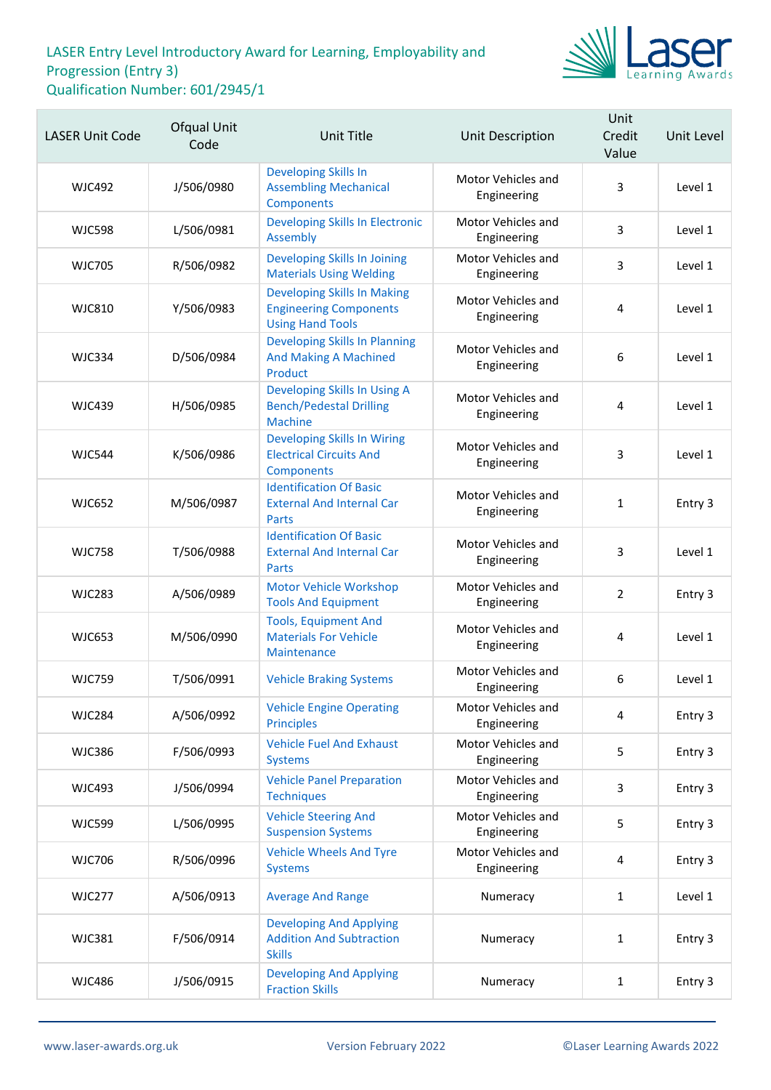

| <b>LASER Unit Code</b> | Ofqual Unit<br>Code | <b>Unit Title</b>                                                                              | <b>Unit Description</b>           | Unit<br>Credit<br>Value | Unit Level |
|------------------------|---------------------|------------------------------------------------------------------------------------------------|-----------------------------------|-------------------------|------------|
| <b>WJC492</b>          | J/506/0980          | Developing Skills In<br><b>Assembling Mechanical</b><br><b>Components</b>                      | Motor Vehicles and<br>Engineering | 3                       | Level 1    |
| <b>WJC598</b>          | L/506/0981          | Developing Skills In Electronic<br>Assembly                                                    | Motor Vehicles and<br>Engineering | 3                       | Level 1    |
| <b>WJC705</b>          | R/506/0982          | Developing Skills In Joining<br><b>Materials Using Welding</b>                                 | Motor Vehicles and<br>Engineering | 3                       | Level 1    |
| <b>WJC810</b>          | Y/506/0983          | <b>Developing Skills In Making</b><br><b>Engineering Components</b><br><b>Using Hand Tools</b> | Motor Vehicles and<br>Engineering | 4                       | Level 1    |
| <b>WJC334</b>          | D/506/0984          | <b>Developing Skills In Planning</b><br><b>And Making A Machined</b><br>Product                | Motor Vehicles and<br>Engineering | 6                       | Level 1    |
| <b>WJC439</b>          | H/506/0985          | Developing Skills In Using A<br><b>Bench/Pedestal Drilling</b><br><b>Machine</b>               | Motor Vehicles and<br>Engineering | 4                       | Level 1    |
| <b>WJC544</b>          | K/506/0986          | <b>Developing Skills In Wiring</b><br><b>Electrical Circuits And</b><br>Components             | Motor Vehicles and<br>Engineering | 3                       | Level 1    |
| <b>WJC652</b>          | M/506/0987          | <b>Identification Of Basic</b><br><b>External And Internal Car</b><br>Parts                    | Motor Vehicles and<br>Engineering | $\mathbf{1}$            | Entry 3    |
| <b>WJC758</b>          | T/506/0988          | <b>Identification Of Basic</b><br><b>External And Internal Car</b><br>Parts                    | Motor Vehicles and<br>Engineering | 3                       | Level 1    |
| <b>WJC283</b>          | A/506/0989          | <b>Motor Vehicle Workshop</b><br><b>Tools And Equipment</b>                                    | Motor Vehicles and<br>Engineering | $\overline{2}$          | Entry 3    |
| <b>WJC653</b>          | M/506/0990          | <b>Tools, Equipment And</b><br><b>Materials For Vehicle</b><br>Maintenance                     | Motor Vehicles and<br>Engineering | 4                       | Level 1    |
| <b>WJC759</b>          | T/506/0991          | <b>Vehicle Braking Systems</b>                                                                 | Motor Vehicles and<br>Engineering | 6                       | Level 1    |
| <b>WJC284</b>          | A/506/0992          | <b>Vehicle Engine Operating</b><br><b>Principles</b>                                           | Motor Vehicles and<br>Engineering | 4                       | Entry 3    |
| <b>WJC386</b>          | F/506/0993          | <b>Vehicle Fuel And Exhaust</b><br><b>Systems</b>                                              | Motor Vehicles and<br>Engineering | 5                       | Entry 3    |
| <b>WJC493</b>          | J/506/0994          | <b>Vehicle Panel Preparation</b><br><b>Techniques</b>                                          | Motor Vehicles and<br>Engineering | 3                       | Entry 3    |
| <b>WJC599</b>          | L/506/0995          | <b>Vehicle Steering And</b><br><b>Suspension Systems</b>                                       | Motor Vehicles and<br>Engineering | 5                       | Entry 3    |
| <b>WJC706</b>          | R/506/0996          | <b>Vehicle Wheels And Tyre</b><br><b>Systems</b>                                               | Motor Vehicles and<br>Engineering | 4                       | Entry 3    |
| <b>WJC277</b>          | A/506/0913          | <b>Average And Range</b>                                                                       | Numeracy                          | 1                       | Level 1    |
| <b>WJC381</b>          | F/506/0914          | <b>Developing And Applying</b><br><b>Addition And Subtraction</b><br><b>Skills</b>             | Numeracy                          | $\mathbf{1}$            | Entry 3    |
| <b>WJC486</b>          | J/506/0915          | <b>Developing And Applying</b><br><b>Fraction Skills</b>                                       | Numeracy                          | $\mathbf{1}$            | Entry 3    |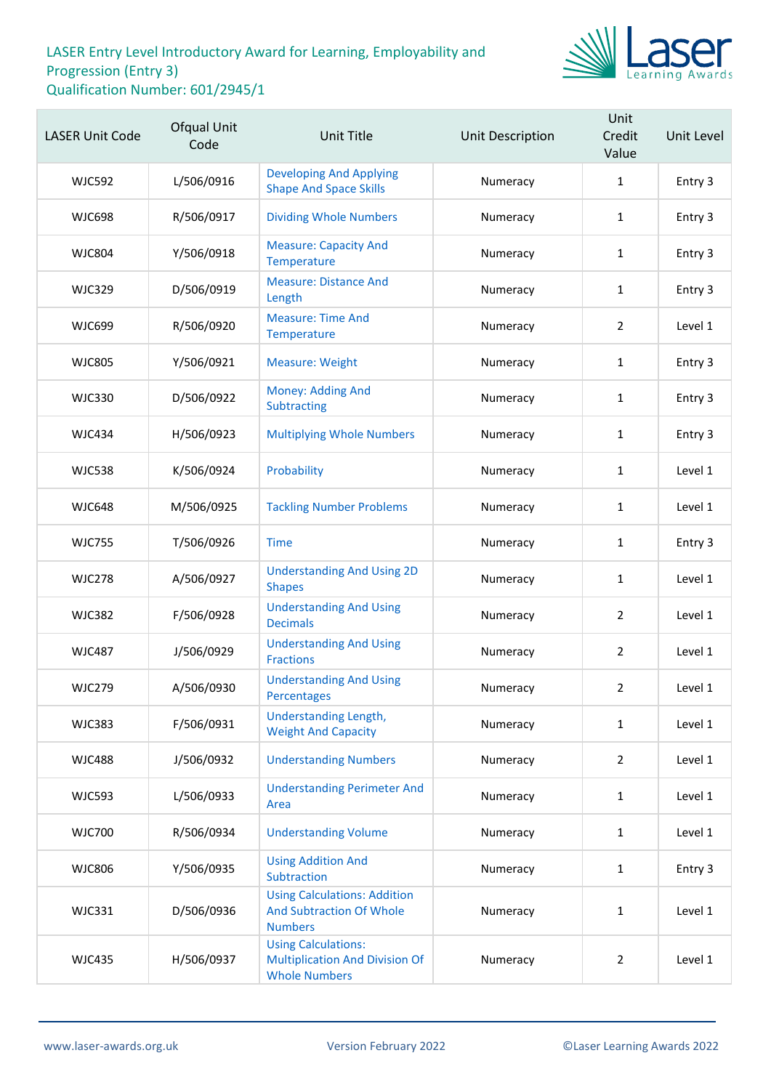

| <b>LASER Unit Code</b> | Ofqual Unit<br>Code | <b>Unit Title</b>                                                                           | Unit Description | Unit<br>Credit<br>Value | Unit Level |
|------------------------|---------------------|---------------------------------------------------------------------------------------------|------------------|-------------------------|------------|
| <b>WJC592</b>          | L/506/0916          | <b>Developing And Applying</b><br><b>Shape And Space Skills</b>                             | Numeracy         | $\mathbf{1}$            | Entry 3    |
| <b>WJC698</b>          | R/506/0917          | <b>Dividing Whole Numbers</b>                                                               | Numeracy         | $\mathbf{1}$            | Entry 3    |
| <b>WJC804</b>          | Y/506/0918          | <b>Measure: Capacity And</b><br>Temperature                                                 | Numeracy         | $\mathbf{1}$            | Entry 3    |
| <b>WJC329</b>          | D/506/0919          | <b>Measure: Distance And</b><br>Length                                                      | Numeracy         | $\mathbf{1}$            | Entry 3    |
| <b>WJC699</b>          | R/506/0920          | <b>Measure: Time And</b><br>Temperature                                                     | Numeracy         | $\overline{2}$          | Level 1    |
| <b>WJC805</b>          | Y/506/0921          | <b>Measure: Weight</b>                                                                      | Numeracy         | $\mathbf{1}$            | Entry 3    |
| <b>WJC330</b>          | D/506/0922          | Money: Adding And<br>Subtracting                                                            | Numeracy         | 1                       | Entry 3    |
| <b>WJC434</b>          | H/506/0923          | <b>Multiplying Whole Numbers</b>                                                            | Numeracy         | $\mathbf{1}$            | Entry 3    |
| <b>WJC538</b>          | K/506/0924          | Probability                                                                                 | Numeracy         | $\mathbf{1}$            | Level 1    |
| <b>WJC648</b>          | M/506/0925          | <b>Tackling Number Problems</b>                                                             | Numeracy         | 1                       | Level 1    |
| <b>WJC755</b>          | T/506/0926          | <b>Time</b>                                                                                 | Numeracy         | $\mathbf{1}$            | Entry 3    |
| <b>WJC278</b>          | A/506/0927          | <b>Understanding And Using 2D</b><br><b>Shapes</b>                                          | Numeracy         | $\mathbf{1}$            | Level 1    |
| <b>WJC382</b>          | F/506/0928          | <b>Understanding And Using</b><br><b>Decimals</b>                                           | Numeracy         | $\overline{2}$          | Level 1    |
| <b>WJC487</b>          | J/506/0929          | <b>Understanding And Using</b><br><b>Fractions</b>                                          | Numeracy         | $\overline{2}$          | Level 1    |
| <b>WJC279</b>          | A/506/0930          | <b>Understanding And Using</b><br>Percentages                                               | Numeracy         | $\overline{2}$          | Level 1    |
| <b>WJC383</b>          | F/506/0931          | Understanding Length,<br><b>Weight And Capacity</b>                                         | Numeracy         | $\mathbf{1}$            | Level 1    |
| <b>WJC488</b>          | J/506/0932          | <b>Understanding Numbers</b>                                                                | Numeracy         | $\overline{2}$          | Level 1    |
| <b>WJC593</b>          | L/506/0933          | <b>Understanding Perimeter And</b><br>Area                                                  | Numeracy         | $\mathbf{1}$            | Level 1    |
| <b>WJC700</b>          | R/506/0934          | <b>Understanding Volume</b>                                                                 | Numeracy         | $\mathbf{1}$            | Level 1    |
| <b>WJC806</b>          | Y/506/0935          | <b>Using Addition And</b><br>Subtraction                                                    | Numeracy         | $\mathbf{1}$            | Entry 3    |
| <b>WJC331</b>          | D/506/0936          | <b>Using Calculations: Addition</b><br><b>And Subtraction Of Whole</b><br><b>Numbers</b>    | Numeracy         | 1                       | Level 1    |
| <b>WJC435</b>          | H/506/0937          | <b>Using Calculations:</b><br><b>Multiplication And Division Of</b><br><b>Whole Numbers</b> | Numeracy         | $\overline{2}$          | Level 1    |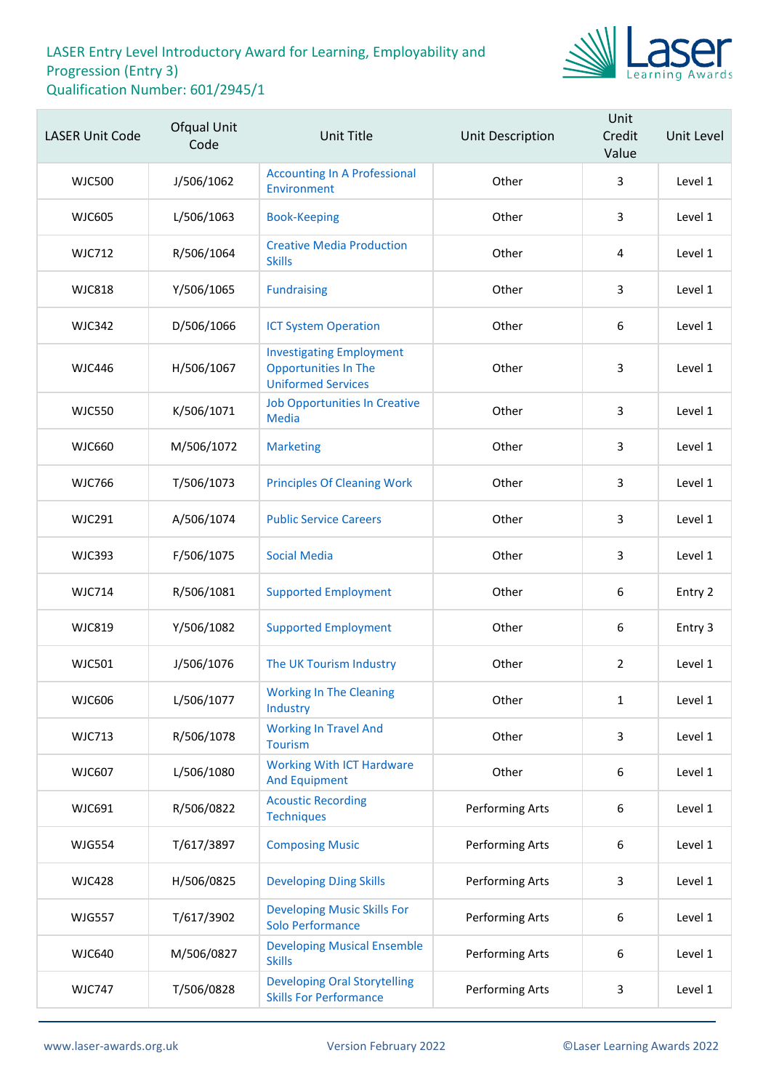

| <b>LASER Unit Code</b> | Ofqual Unit<br>Code | <b>Unit Title</b>                                                                           | <b>Unit Description</b> | Unit<br>Credit<br>Value | Unit Level |
|------------------------|---------------------|---------------------------------------------------------------------------------------------|-------------------------|-------------------------|------------|
| <b>WJC500</b>          | J/506/1062          | <b>Accounting In A Professional</b><br>Environment                                          | Other                   | 3                       | Level 1    |
| <b>WJC605</b>          | L/506/1063          | <b>Book-Keeping</b>                                                                         | Other                   | 3                       | Level 1    |
| <b>WJC712</b>          | R/506/1064          | <b>Creative Media Production</b><br><b>Skills</b>                                           | Other                   | 4                       | Level 1    |
| <b>WJC818</b>          | Y/506/1065          | <b>Fundraising</b>                                                                          | Other                   | 3                       | Level 1    |
| <b>WJC342</b>          | D/506/1066          | <b>ICT System Operation</b>                                                                 | Other                   | 6                       | Level 1    |
| <b>WJC446</b>          | H/506/1067          | <b>Investigating Employment</b><br><b>Opportunities In The</b><br><b>Uniformed Services</b> | Other                   | 3                       | Level 1    |
| <b>WJC550</b>          | K/506/1071          | <b>Job Opportunities In Creative</b><br><b>Media</b>                                        | Other                   | 3                       | Level 1    |
| <b>WJC660</b>          | M/506/1072          | <b>Marketing</b>                                                                            | Other                   | 3                       | Level 1    |
| <b>WJC766</b>          | T/506/1073          | <b>Principles Of Cleaning Work</b>                                                          | Other                   | 3                       | Level 1    |
| <b>WJC291</b>          | A/506/1074          | <b>Public Service Careers</b>                                                               | Other                   | 3                       | Level 1    |
| <b>WJC393</b>          | F/506/1075          | <b>Social Media</b>                                                                         | Other                   | 3                       | Level 1    |
| <b>WJC714</b>          | R/506/1081          | <b>Supported Employment</b>                                                                 | Other                   | $\boldsymbol{6}$        | Entry 2    |
| <b>WJC819</b>          | Y/506/1082          | <b>Supported Employment</b>                                                                 | Other                   | $\boldsymbol{6}$        | Entry 3    |
| <b>WJC501</b>          | J/506/1076          | The UK Tourism Industry                                                                     | Other                   | $\overline{2}$          | Level 1    |
| <b>WJC606</b>          | L/506/1077          | <b>Working In The Cleaning</b><br>Industry                                                  | Other                   | $\mathbf{1}$            | Level 1    |
| <b>WJC713</b>          | R/506/1078          | <b>Working In Travel And</b><br><b>Tourism</b>                                              | Other                   | 3                       | Level 1    |
| <b>WJC607</b>          | L/506/1080          | <b>Working With ICT Hardware</b><br><b>And Equipment</b>                                    | Other                   | $\boldsymbol{6}$        | Level 1    |
| WJC691                 | R/506/0822          | <b>Acoustic Recording</b><br><b>Techniques</b>                                              | Performing Arts         | 6                       | Level 1    |
| <b>WJG554</b>          | T/617/3897          | <b>Composing Music</b>                                                                      | Performing Arts         | 6                       | Level 1    |
| <b>WJC428</b>          | H/506/0825          | <b>Developing DJing Skills</b>                                                              | Performing Arts         | 3                       | Level 1    |
| <b>WJG557</b>          | T/617/3902          | <b>Developing Music Skills For</b><br><b>Solo Performance</b>                               | Performing Arts         | 6                       | Level 1    |
| <b>WJC640</b>          | M/506/0827          | <b>Developing Musical Ensemble</b><br><b>Skills</b>                                         | Performing Arts         | 6                       | Level 1    |
| <b>WJC747</b>          | T/506/0828          | <b>Developing Oral Storytelling</b><br><b>Skills For Performance</b>                        | Performing Arts         | 3                       | Level 1    |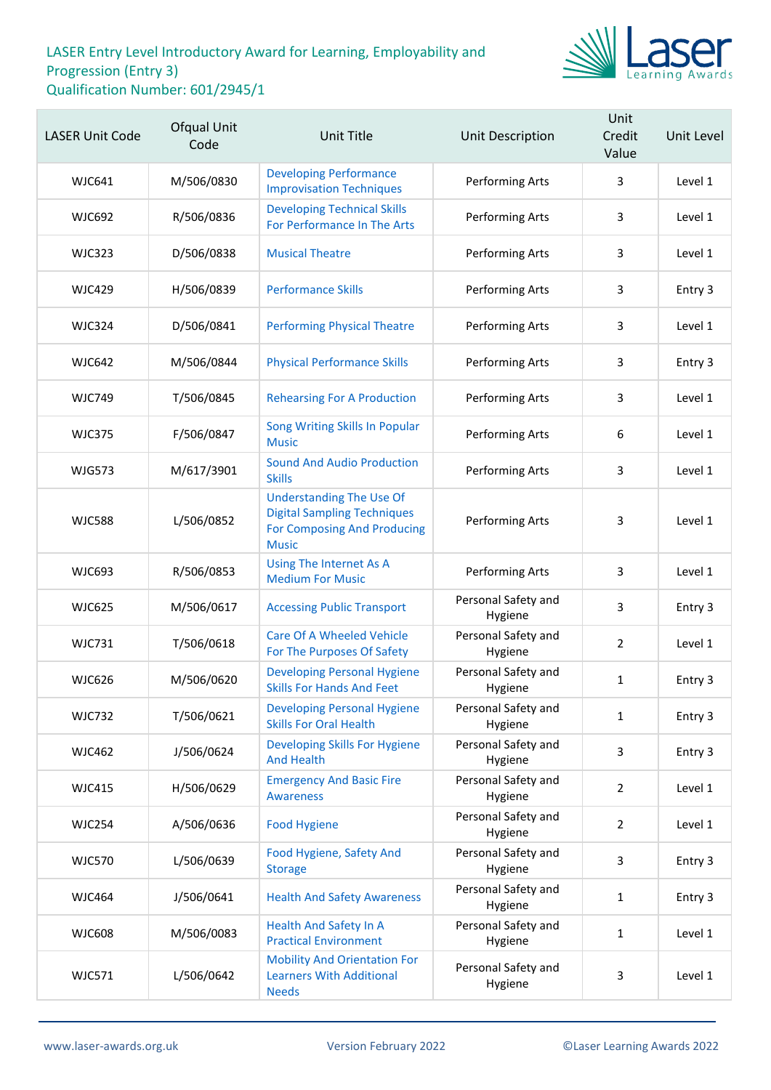

| <b>LASER Unit Code</b> | Ofqual Unit<br>Code | <b>Unit Title</b>                                                                                                    | <b>Unit Description</b>        | Unit<br>Credit<br>Value | Unit Level |
|------------------------|---------------------|----------------------------------------------------------------------------------------------------------------------|--------------------------------|-------------------------|------------|
| <b>WJC641</b>          | M/506/0830          | <b>Developing Performance</b><br><b>Improvisation Techniques</b>                                                     | Performing Arts                | 3                       | Level 1    |
| <b>WJC692</b>          | R/506/0836          | <b>Developing Technical Skills</b><br>For Performance In The Arts                                                    | Performing Arts                | 3                       | Level 1    |
| <b>WJC323</b>          | D/506/0838          | <b>Musical Theatre</b>                                                                                               | Performing Arts                | 3                       | Level 1    |
| <b>WJC429</b>          | H/506/0839          | <b>Performance Skills</b>                                                                                            | Performing Arts                | 3                       | Entry 3    |
| <b>WJC324</b>          | D/506/0841          | <b>Performing Physical Theatre</b>                                                                                   | Performing Arts                | 3                       | Level 1    |
| <b>WJC642</b>          | M/506/0844          | <b>Physical Performance Skills</b>                                                                                   | Performing Arts                | 3                       | Entry 3    |
| <b>WJC749</b>          | T/506/0845          | <b>Rehearsing For A Production</b>                                                                                   | Performing Arts                | 3                       | Level 1    |
| <b>WJC375</b>          | F/506/0847          | Song Writing Skills In Popular<br><b>Music</b>                                                                       | Performing Arts                | 6                       | Level 1    |
| <b>WJG573</b>          | M/617/3901          | <b>Sound And Audio Production</b><br><b>Skills</b>                                                                   | Performing Arts                | 3                       | Level 1    |
| <b>WJC588</b>          | L/506/0852          | <b>Understanding The Use Of</b><br><b>Digital Sampling Techniques</b><br>For Composing And Producing<br><b>Music</b> | Performing Arts                | 3                       | Level 1    |
| <b>WJC693</b>          | R/506/0853          | Using The Internet As A<br><b>Medium For Music</b>                                                                   | Performing Arts                | 3                       | Level 1    |
| <b>WJC625</b>          | M/506/0617          | <b>Accessing Public Transport</b>                                                                                    | Personal Safety and<br>Hygiene | 3                       | Entry 3    |
| <b>WJC731</b>          | T/506/0618          | <b>Care Of A Wheeled Vehicle</b><br>For The Purposes Of Safety                                                       | Personal Safety and<br>Hygiene | $\overline{2}$          | Level 1    |
| <b>WJC626</b>          | M/506/0620          | <b>Developing Personal Hygiene</b><br><b>Skills For Hands And Feet</b>                                               | Personal Safety and<br>Hygiene | $\mathbf{1}$            | Entry 3    |
| <b>WJC732</b>          | T/506/0621          | <b>Developing Personal Hygiene</b><br><b>Skills For Oral Health</b>                                                  | Personal Safety and<br>Hygiene | $\mathbf{1}$            | Entry 3    |
| <b>WJC462</b>          | J/506/0624          | Developing Skills For Hygiene<br><b>And Health</b>                                                                   | Personal Safety and<br>Hygiene | 3                       | Entry 3    |
| <b>WJC415</b>          | H/506/0629          | <b>Emergency And Basic Fire</b><br><b>Awareness</b>                                                                  | Personal Safety and<br>Hygiene | $\overline{2}$          | Level 1    |
| <b>WJC254</b>          | A/506/0636          | <b>Food Hygiene</b>                                                                                                  | Personal Safety and<br>Hygiene | $\overline{2}$          | Level 1    |
| <b>WJC570</b>          | L/506/0639          | Food Hygiene, Safety And<br><b>Storage</b>                                                                           | Personal Safety and<br>Hygiene | 3                       | Entry 3    |
| <b>WJC464</b>          | J/506/0641          | <b>Health And Safety Awareness</b>                                                                                   | Personal Safety and<br>Hygiene | $\mathbf{1}$            | Entry 3    |
| <b>WJC608</b>          | M/506/0083          | <b>Health And Safety In A</b><br><b>Practical Environment</b>                                                        | Personal Safety and<br>Hygiene | 1                       | Level 1    |
| <b>WJC571</b>          | L/506/0642          | <b>Mobility And Orientation For</b><br><b>Learners With Additional</b><br><b>Needs</b>                               | Personal Safety and<br>Hygiene | 3                       | Level 1    |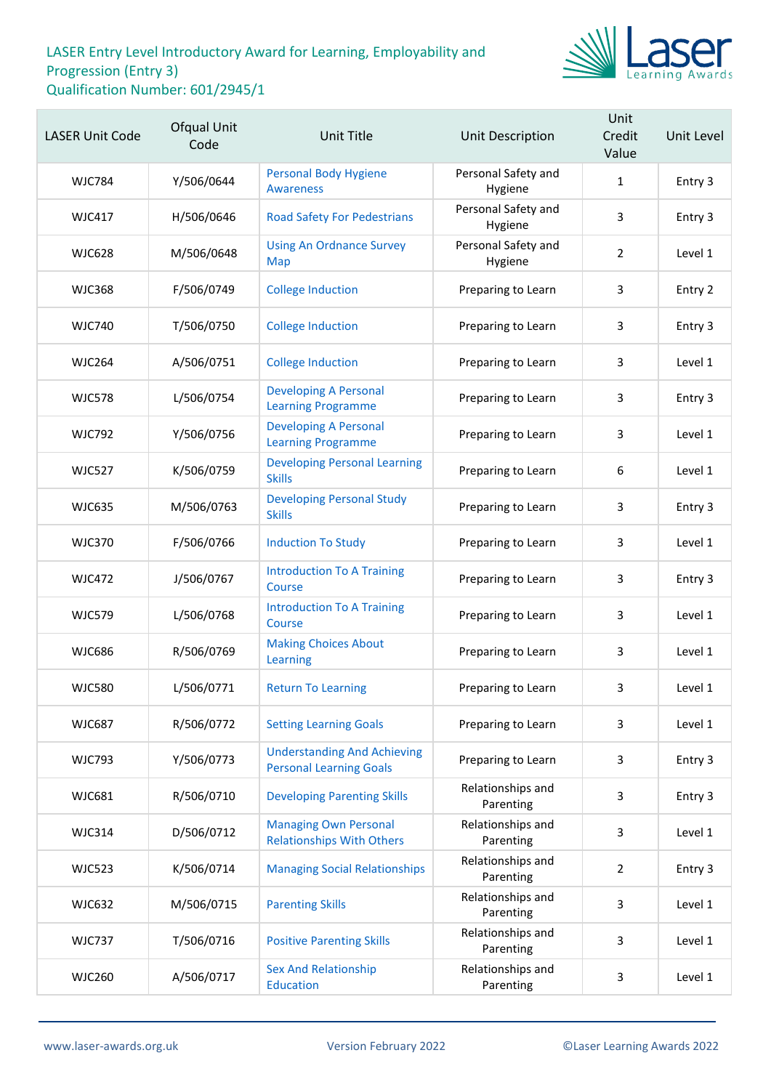

| <b>LASER Unit Code</b> | Ofqual Unit<br>Code | <b>Unit Title</b>                                                    | Unit Description               | Unit<br>Credit<br>Value | Unit Level |
|------------------------|---------------------|----------------------------------------------------------------------|--------------------------------|-------------------------|------------|
| WJC784                 | Y/506/0644          | <b>Personal Body Hygiene</b><br><b>Awareness</b>                     | Personal Safety and<br>Hygiene | $\mathbf{1}$            | Entry 3    |
| <b>WJC417</b>          | H/506/0646          | <b>Road Safety For Pedestrians</b>                                   | Personal Safety and<br>Hygiene | 3                       | Entry 3    |
| <b>WJC628</b>          | M/506/0648          | <b>Using An Ordnance Survey</b><br>Map                               | Personal Safety and<br>Hygiene | $\overline{2}$          | Level 1    |
| <b>WJC368</b>          | F/506/0749          | <b>College Induction</b>                                             | Preparing to Learn             | 3                       | Entry 2    |
| <b>WJC740</b>          | T/506/0750          | <b>College Induction</b>                                             | Preparing to Learn             | 3                       | Entry 3    |
| <b>WJC264</b>          | A/506/0751          | <b>College Induction</b>                                             | Preparing to Learn             | 3                       | Level 1    |
| <b>WJC578</b>          | L/506/0754          | <b>Developing A Personal</b><br><b>Learning Programme</b>            | Preparing to Learn             | 3                       | Entry 3    |
| <b>WJC792</b>          | Y/506/0756          | <b>Developing A Personal</b><br><b>Learning Programme</b>            | Preparing to Learn             | 3                       | Level 1    |
| <b>WJC527</b>          | K/506/0759          | <b>Developing Personal Learning</b><br><b>Skills</b>                 | Preparing to Learn             | 6                       | Level 1    |
| <b>WJC635</b>          | M/506/0763          | <b>Developing Personal Study</b><br><b>Skills</b>                    | Preparing to Learn             | 3                       | Entry 3    |
| <b>WJC370</b>          | F/506/0766          | <b>Induction To Study</b>                                            | Preparing to Learn             | 3                       | Level 1    |
| <b>WJC472</b>          | J/506/0767          | <b>Introduction To A Training</b><br>Course                          | Preparing to Learn             | 3                       | Entry 3    |
| <b>WJC579</b>          | L/506/0768          | <b>Introduction To A Training</b><br>Course                          | Preparing to Learn             | 3                       | Level 1    |
| <b>WJC686</b>          | R/506/0769          | <b>Making Choices About</b><br>Learning                              | Preparing to Learn             | 3                       | Level 1    |
| <b>WJC580</b>          | L/506/0771          | <b>Return To Learning</b>                                            | Preparing to Learn             | 3                       | Level 1    |
| <b>WJC687</b>          | R/506/0772          | <b>Setting Learning Goals</b>                                        | Preparing to Learn             | 3                       | Level 1    |
| <b>WJC793</b>          | Y/506/0773          | <b>Understanding And Achieving</b><br><b>Personal Learning Goals</b> | Preparing to Learn             | 3                       | Entry 3    |
| <b>WJC681</b>          | R/506/0710          | <b>Developing Parenting Skills</b>                                   | Relationships and<br>Parenting | 3                       | Entry 3    |
| <b>WJC314</b>          | D/506/0712          | <b>Managing Own Personal</b><br><b>Relationships With Others</b>     | Relationships and<br>Parenting | 3                       | Level 1    |
| <b>WJC523</b>          | K/506/0714          | <b>Managing Social Relationships</b>                                 | Relationships and<br>Parenting | $\overline{2}$          | Entry 3    |
| <b>WJC632</b>          | M/506/0715          | <b>Parenting Skills</b>                                              | Relationships and<br>Parenting | 3                       | Level 1    |
| <b>WJC737</b>          | T/506/0716          | <b>Positive Parenting Skills</b>                                     | Relationships and<br>Parenting | 3                       | Level 1    |
| <b>WJC260</b>          | A/506/0717          | <b>Sex And Relationship</b><br><b>Education</b>                      | Relationships and<br>Parenting | 3                       | Level 1    |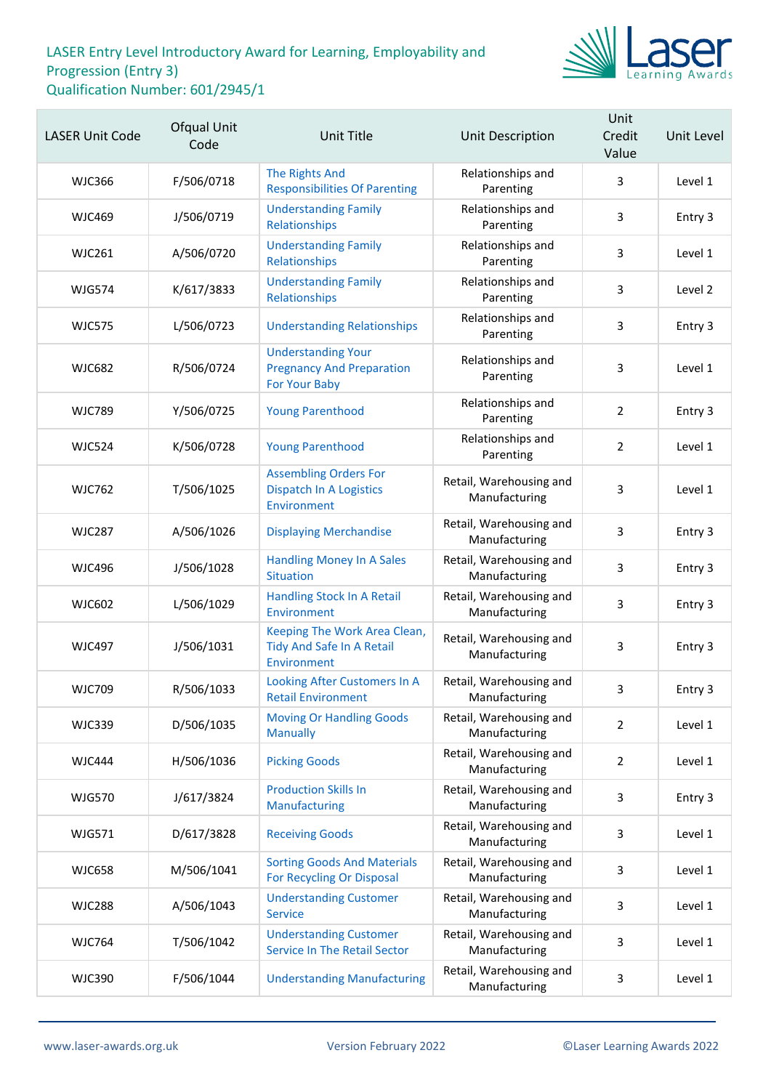

| <b>LASER Unit Code</b> | Ofqual Unit<br>Code | <b>Unit Title</b>                                                                     | Unit Description                         | Unit<br>Credit<br>Value | Unit Level |
|------------------------|---------------------|---------------------------------------------------------------------------------------|------------------------------------------|-------------------------|------------|
| <b>WJC366</b>          | F/506/0718          | <b>The Rights And</b><br><b>Responsibilities Of Parenting</b>                         | Relationships and<br>Parenting           | 3                       | Level 1    |
| <b>WJC469</b>          | J/506/0719          | <b>Understanding Family</b><br>Relationships                                          | Relationships and<br>Parenting           | 3                       | Entry 3    |
| <b>WJC261</b>          | A/506/0720          | <b>Understanding Family</b><br>Relationships                                          | Relationships and<br>Parenting           | 3                       | Level 1    |
| <b>WJG574</b>          | K/617/3833          | <b>Understanding Family</b><br>Relationships                                          | Relationships and<br>Parenting           | 3                       | Level 2    |
| <b>WJC575</b>          | L/506/0723          | <b>Understanding Relationships</b>                                                    | Relationships and<br>Parenting           | 3                       | Entry 3    |
| <b>WJC682</b>          | R/506/0724          | <b>Understanding Your</b><br><b>Pregnancy And Preparation</b><br><b>For Your Baby</b> | Relationships and<br>Parenting           | 3                       | Level 1    |
| <b>WJC789</b>          | Y/506/0725          | <b>Young Parenthood</b>                                                               | Relationships and<br>Parenting           | $\overline{2}$          | Entry 3    |
| <b>WJC524</b>          | K/506/0728          | <b>Young Parenthood</b>                                                               | Relationships and<br>Parenting           | $\overline{2}$          | Level 1    |
| <b>WJC762</b>          | T/506/1025          | <b>Assembling Orders For</b><br><b>Dispatch In A Logistics</b><br>Environment         | Retail, Warehousing and<br>Manufacturing | 3                       | Level 1    |
| <b>WJC287</b>          | A/506/1026          | <b>Displaying Merchandise</b>                                                         | Retail, Warehousing and<br>Manufacturing | 3                       | Entry 3    |
| <b>WJC496</b>          | J/506/1028          | <b>Handling Money In A Sales</b><br><b>Situation</b>                                  | Retail, Warehousing and<br>Manufacturing | 3                       | Entry 3    |
| WJC602                 | L/506/1029          | <b>Handling Stock In A Retail</b><br>Environment                                      | Retail, Warehousing and<br>Manufacturing | $\overline{3}$          | Entry 3    |
| <b>WJC497</b>          | J/506/1031          | Keeping The Work Area Clean,<br>Tidy And Safe In A Retail<br>Environment              | Retail, Warehousing and<br>Manufacturing | 3                       | Entry 3    |
| <b>WJC709</b>          | R/506/1033          | Looking After Customers In A<br><b>Retail Environment</b>                             | Retail, Warehousing and<br>Manufacturing | 3                       | Entry 3    |
| <b>WJC339</b>          | D/506/1035          | <b>Moving Or Handling Goods</b><br><b>Manually</b>                                    | Retail, Warehousing and<br>Manufacturing | $\overline{2}$          | Level 1    |
| <b>WJC444</b>          | H/506/1036          | <b>Picking Goods</b>                                                                  | Retail, Warehousing and<br>Manufacturing | $\overline{2}$          | Level 1    |
| <b>WJG570</b>          | J/617/3824          | <b>Production Skills In</b><br>Manufacturing                                          | Retail, Warehousing and<br>Manufacturing | 3                       | Entry 3    |
| <b>WJG571</b>          | D/617/3828          | <b>Receiving Goods</b>                                                                | Retail, Warehousing and<br>Manufacturing | 3                       | Level 1    |
| <b>WJC658</b>          | M/506/1041          | <b>Sorting Goods And Materials</b><br>For Recycling Or Disposal                       | Retail, Warehousing and<br>Manufacturing | 3                       | Level 1    |
| <b>WJC288</b>          | A/506/1043          | <b>Understanding Customer</b><br><b>Service</b>                                       | Retail, Warehousing and<br>Manufacturing | 3                       | Level 1    |
| <b>WJC764</b>          | T/506/1042          | <b>Understanding Customer</b><br><b>Service In The Retail Sector</b>                  | Retail, Warehousing and<br>Manufacturing | 3                       | Level 1    |
| <b>WJC390</b>          | F/506/1044          | <b>Understanding Manufacturing</b>                                                    | Retail, Warehousing and<br>Manufacturing | 3                       | Level 1    |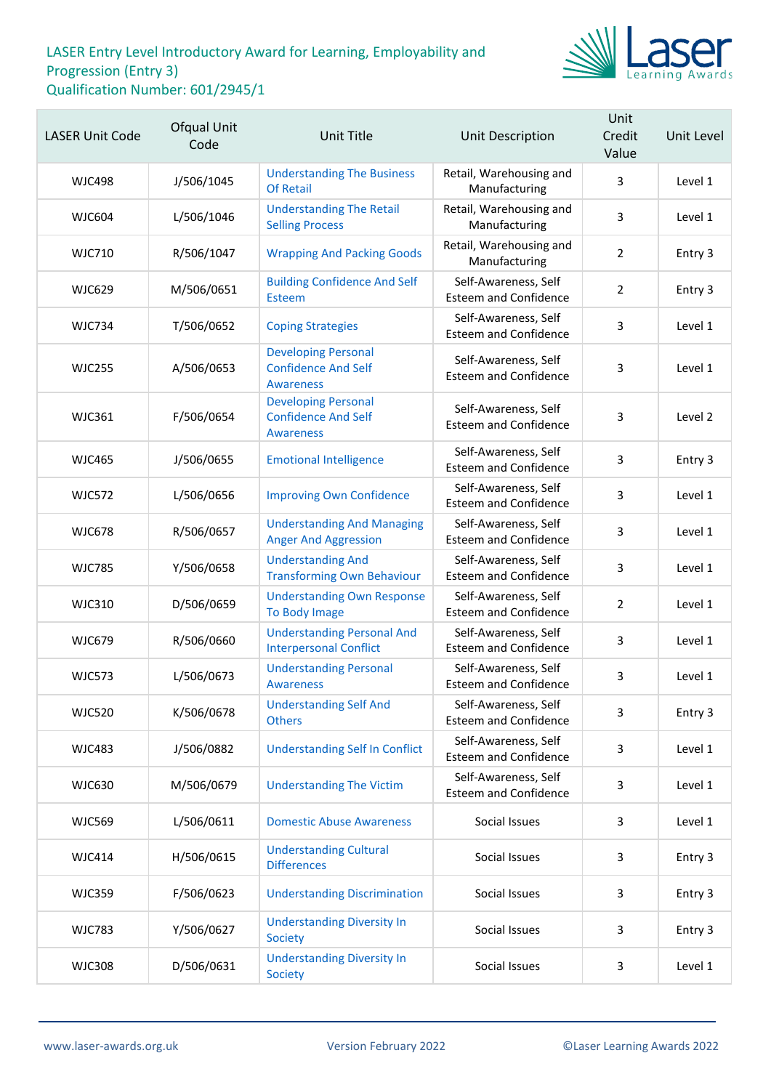

| <b>LASER Unit Code</b> | Ofqual Unit<br>Code | Unit Title                                                                   | Unit Description                                     | Unit<br>Credit<br>Value | Unit Level |
|------------------------|---------------------|------------------------------------------------------------------------------|------------------------------------------------------|-------------------------|------------|
| <b>WJC498</b>          | J/506/1045          | <b>Understanding The Business</b><br><b>Of Retail</b>                        | Retail, Warehousing and<br>Manufacturing             | 3                       | Level 1    |
| <b>WJC604</b>          | L/506/1046          | <b>Understanding The Retail</b><br><b>Selling Process</b>                    | Retail, Warehousing and<br>Manufacturing             | 3                       | Level 1    |
| <b>WJC710</b>          | R/506/1047          | <b>Wrapping And Packing Goods</b>                                            | Retail, Warehousing and<br>Manufacturing             | $\overline{2}$          | Entry 3    |
| <b>WJC629</b>          | M/506/0651          | <b>Building Confidence And Self</b><br>Esteem                                | Self-Awareness, Self<br><b>Esteem and Confidence</b> | $\overline{2}$          | Entry 3    |
| <b>WJC734</b>          | T/506/0652          | <b>Coping Strategies</b>                                                     | Self-Awareness, Self<br><b>Esteem and Confidence</b> | 3                       | Level 1    |
| <b>WJC255</b>          | A/506/0653          | <b>Developing Personal</b><br><b>Confidence And Self</b><br><b>Awareness</b> | Self-Awareness, Self<br><b>Esteem and Confidence</b> | 3                       | Level 1    |
| <b>WJC361</b>          | F/506/0654          | <b>Developing Personal</b><br><b>Confidence And Self</b><br><b>Awareness</b> | Self-Awareness, Self<br><b>Esteem and Confidence</b> | 3                       | Level 2    |
| <b>WJC465</b>          | J/506/0655          | <b>Emotional Intelligence</b>                                                | Self-Awareness, Self<br><b>Esteem and Confidence</b> | 3                       | Entry 3    |
| <b>WJC572</b>          | L/506/0656          | <b>Improving Own Confidence</b>                                              | Self-Awareness, Self<br><b>Esteem and Confidence</b> | 3                       | Level 1    |
| <b>WJC678</b>          | R/506/0657          | <b>Understanding And Managing</b><br><b>Anger And Aggression</b>             | Self-Awareness, Self<br><b>Esteem and Confidence</b> | 3                       | Level 1    |
| <b>WJC785</b>          | Y/506/0658          | <b>Understanding And</b><br><b>Transforming Own Behaviour</b>                | Self-Awareness, Self<br><b>Esteem and Confidence</b> | 3                       | Level 1    |
| <b>WJC310</b>          | D/506/0659          | <b>Understanding Own Response</b><br>To Body Image                           | Self-Awareness, Self<br><b>Esteem and Confidence</b> | $\overline{2}$          | Level 1    |
| <b>WJC679</b>          | R/506/0660          | <b>Understanding Personal And</b><br><b>Interpersonal Conflict</b>           | Self-Awareness, Self<br><b>Esteem and Confidence</b> | 3                       | Level 1    |
| <b>WJC573</b>          | L/506/0673          | <b>Understanding Personal</b><br><b>Awareness</b>                            | Self-Awareness, Self<br><b>Esteem and Confidence</b> | 3                       | Level 1    |
| <b>WJC520</b>          | K/506/0678          | <b>Understanding Self And</b><br><b>Others</b>                               | Self-Awareness, Self<br><b>Esteem and Confidence</b> | 3                       | Entry 3    |
| <b>WJC483</b>          | J/506/0882          | <b>Understanding Self In Conflict</b>                                        | Self-Awareness, Self<br><b>Esteem and Confidence</b> | $\mathbf{3}$            | Level 1    |
| <b>WJC630</b>          | M/506/0679          | <b>Understanding The Victim</b>                                              | Self-Awareness, Self<br><b>Esteem and Confidence</b> | 3                       | Level 1    |
| <b>WJC569</b>          | L/506/0611          | <b>Domestic Abuse Awareness</b>                                              | Social Issues                                        | 3                       | Level 1    |
| <b>WJC414</b>          | H/506/0615          | <b>Understanding Cultural</b><br><b>Differences</b>                          | Social Issues                                        | 3                       | Entry 3    |
| <b>WJC359</b>          | F/506/0623          | <b>Understanding Discrimination</b>                                          | Social Issues                                        | 3                       | Entry 3    |
| <b>WJC783</b>          | Y/506/0627          | <b>Understanding Diversity In</b><br><b>Society</b>                          | Social Issues                                        | 3                       | Entry 3    |
| <b>WJC308</b>          | D/506/0631          | <b>Understanding Diversity In</b><br>Society                                 | Social Issues                                        | 3                       | Level 1    |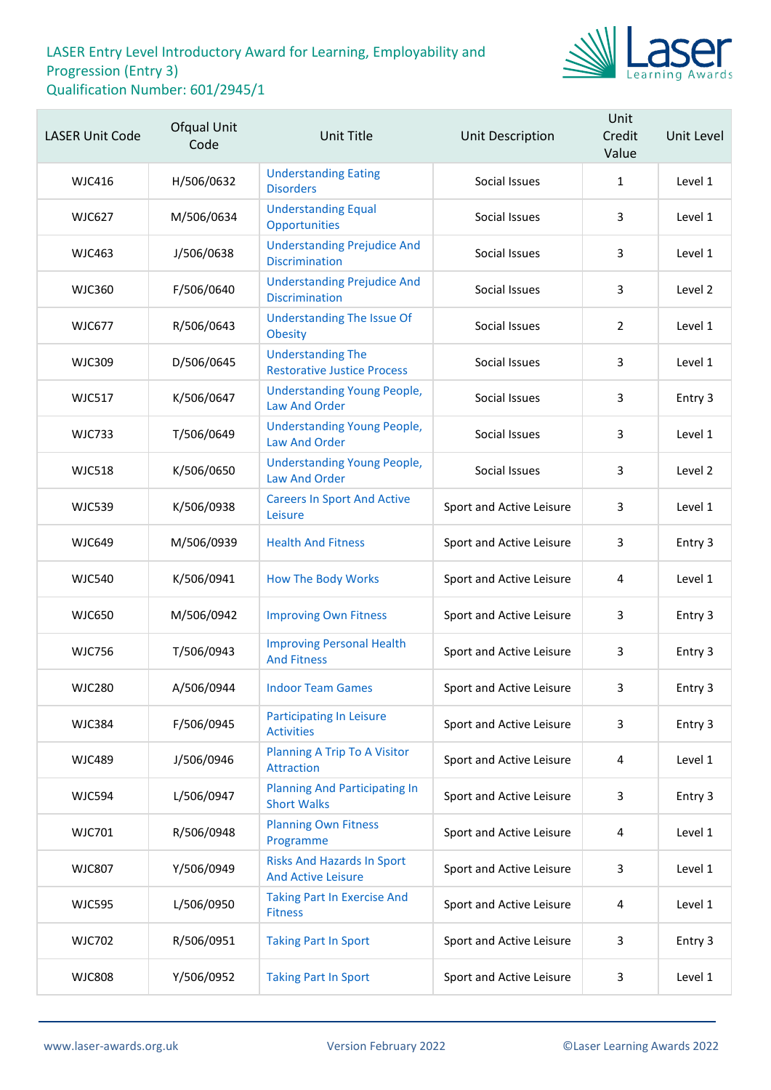

| <b>LASER Unit Code</b> | Ofqual Unit<br>Code | Unit Title                                                     | Unit Description         | Unit<br>Credit<br>Value | Unit Level |
|------------------------|---------------------|----------------------------------------------------------------|--------------------------|-------------------------|------------|
| <b>WJC416</b>          | H/506/0632          | <b>Understanding Eating</b><br><b>Disorders</b>                | Social Issues            | $\mathbf{1}$            | Level 1    |
| <b>WJC627</b>          | M/506/0634          | <b>Understanding Equal</b><br>Opportunities                    | Social Issues            | 3                       | Level 1    |
| <b>WJC463</b>          | J/506/0638          | <b>Understanding Prejudice And</b><br><b>Discrimination</b>    | Social Issues            | 3                       | Level 1    |
| <b>WJC360</b>          | F/506/0640          | <b>Understanding Prejudice And</b><br><b>Discrimination</b>    | Social Issues            | 3                       | Level 2    |
| <b>WJC677</b>          | R/506/0643          | <b>Understanding The Issue Of</b><br><b>Obesity</b>            | Social Issues            | 2                       | Level 1    |
| <b>WJC309</b>          | D/506/0645          | <b>Understanding The</b><br><b>Restorative Justice Process</b> | Social Issues            | 3                       | Level 1    |
| <b>WJC517</b>          | K/506/0647          | <b>Understanding Young People,</b><br><b>Law And Order</b>     | Social Issues            | 3                       | Entry 3    |
| <b>WJC733</b>          | T/506/0649          | <b>Understanding Young People,</b><br><b>Law And Order</b>     | Social Issues            | 3                       | Level 1    |
| <b>WJC518</b>          | K/506/0650          | <b>Understanding Young People,</b><br><b>Law And Order</b>     | Social Issues            | 3                       | Level 2    |
| <b>WJC539</b>          | K/506/0938          | <b>Careers In Sport And Active</b><br>Leisure                  | Sport and Active Leisure | 3                       | Level 1    |
| <b>WJC649</b>          | M/506/0939          | <b>Health And Fitness</b>                                      | Sport and Active Leisure | 3                       | Entry 3    |
| <b>WJC540</b>          | K/506/0941          | <b>How The Body Works</b>                                      | Sport and Active Leisure | 4                       | Level 1    |
| <b>WJC650</b>          | M/506/0942          | <b>Improving Own Fitness</b>                                   | Sport and Active Leisure | 3                       | Entry 3    |
| <b>WJC756</b>          | T/506/0943          | <b>Improving Personal Health</b><br><b>And Fitness</b>         | Sport and Active Leisure | 3                       | Entry 3    |
| <b>WJC280</b>          | A/506/0944          | <b>Indoor Team Games</b>                                       | Sport and Active Leisure | 3                       | Entry 3    |
| <b>WJC384</b>          | F/506/0945          | <b>Participating In Leisure</b><br><b>Activities</b>           | Sport and Active Leisure | 3                       | Entry 3    |
| <b>WJC489</b>          | J/506/0946          | <b>Planning A Trip To A Visitor</b><br><b>Attraction</b>       | Sport and Active Leisure | 4                       | Level 1    |
| <b>WJC594</b>          | L/506/0947          | <b>Planning And Participating In</b><br><b>Short Walks</b>     | Sport and Active Leisure | 3                       | Entry 3    |
| <b>WJC701</b>          | R/506/0948          | <b>Planning Own Fitness</b><br>Programme                       | Sport and Active Leisure | 4                       | Level 1    |
| <b>WJC807</b>          | Y/506/0949          | <b>Risks And Hazards In Sport</b><br><b>And Active Leisure</b> | Sport and Active Leisure | 3                       | Level 1    |
| <b>WJC595</b>          | L/506/0950          | <b>Taking Part In Exercise And</b><br><b>Fitness</b>           | Sport and Active Leisure | 4                       | Level 1    |
| <b>WJC702</b>          | R/506/0951          | <b>Taking Part In Sport</b>                                    | Sport and Active Leisure | 3                       | Entry 3    |
| <b>WJC808</b>          | Y/506/0952          | <b>Taking Part In Sport</b>                                    | Sport and Active Leisure | 3                       | Level 1    |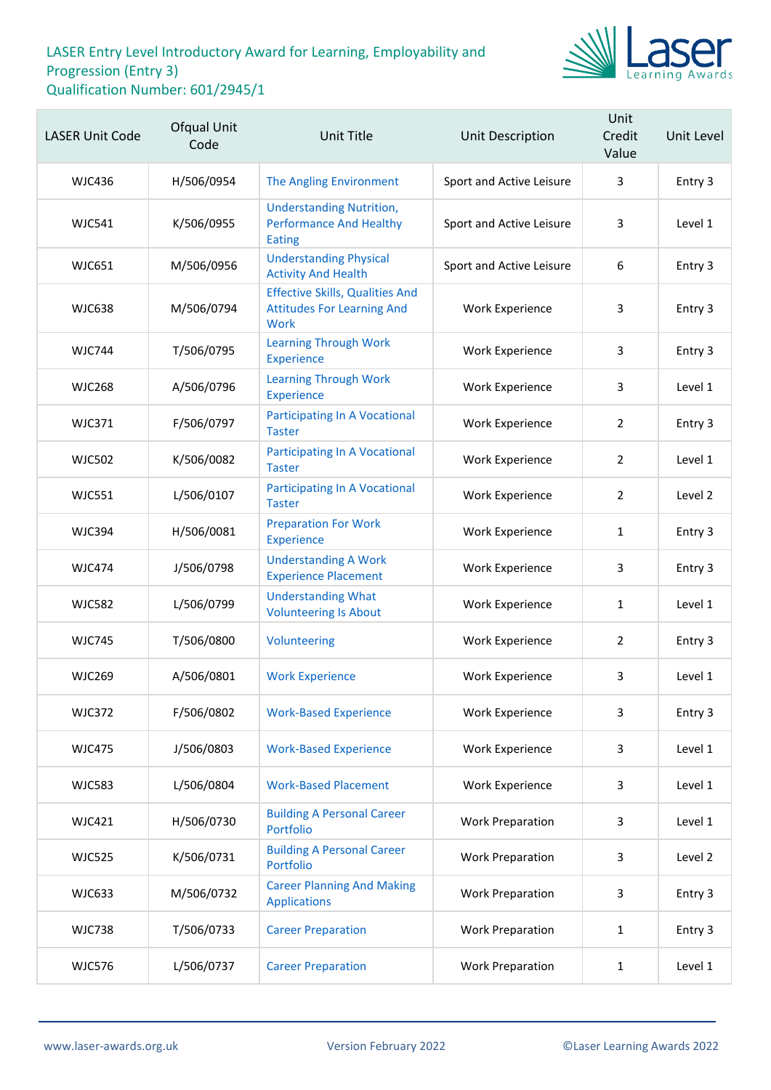

| <b>LASER Unit Code</b> | Ofqual Unit<br>Code | <b>Unit Title</b>                                                                   | Unit Description         | Unit<br>Credit<br>Value | Unit Level |
|------------------------|---------------------|-------------------------------------------------------------------------------------|--------------------------|-------------------------|------------|
| <b>WJC436</b>          | H/506/0954          | The Angling Environment                                                             | Sport and Active Leisure | 3                       | Entry 3    |
| <b>WJC541</b>          | K/506/0955          | <b>Understanding Nutrition,</b><br><b>Performance And Healthy</b><br><b>Eating</b>  | Sport and Active Leisure | 3                       | Level 1    |
| <b>WJC651</b>          | M/506/0956          | <b>Understanding Physical</b><br><b>Activity And Health</b>                         | Sport and Active Leisure | 6                       | Entry 3    |
| <b>WJC638</b>          | M/506/0794          | <b>Effective Skills, Qualities And</b><br><b>Attitudes For Learning And</b><br>Work | <b>Work Experience</b>   | 3                       | Entry 3    |
| <b>WJC744</b>          | T/506/0795          | <b>Learning Through Work</b><br><b>Experience</b>                                   | <b>Work Experience</b>   | 3                       | Entry 3    |
| <b>WJC268</b>          | A/506/0796          | <b>Learning Through Work</b><br><b>Experience</b>                                   | <b>Work Experience</b>   | 3                       | Level 1    |
| <b>WJC371</b>          | F/506/0797          | <b>Participating In A Vocational</b><br><b>Taster</b>                               | <b>Work Experience</b>   | $\overline{2}$          | Entry 3    |
| <b>WJC502</b>          | K/506/0082          | <b>Participating In A Vocational</b><br><b>Taster</b>                               | <b>Work Experience</b>   | $\overline{2}$          | Level 1    |
| <b>WJC551</b>          | L/506/0107          | <b>Participating In A Vocational</b><br><b>Taster</b>                               | <b>Work Experience</b>   | $\overline{2}$          | Level 2    |
| <b>WJC394</b>          | H/506/0081          | <b>Preparation For Work</b><br><b>Experience</b>                                    | <b>Work Experience</b>   | $\mathbf{1}$            | Entry 3    |
| <b>WJC474</b>          | J/506/0798          | <b>Understanding A Work</b><br><b>Experience Placement</b>                          | <b>Work Experience</b>   | 3                       | Entry 3    |
| <b>WJC582</b>          | L/506/0799          | <b>Understanding What</b><br><b>Volunteering Is About</b>                           | <b>Work Experience</b>   | 1                       | Level 1    |
| <b>WJC745</b>          | T/506/0800          | Volunteering                                                                        | <b>Work Experience</b>   | $\overline{2}$          | Entry 3    |
| <b>WJC269</b>          | A/506/0801          | <b>Work Experience</b>                                                              | <b>Work Experience</b>   | 3                       | Level 1    |
| <b>WJC372</b>          | F/506/0802          | <b>Work-Based Experience</b>                                                        | <b>Work Experience</b>   | 3                       | Entry 3    |
| <b>WJC475</b>          | J/506/0803          | <b>Work-Based Experience</b>                                                        | <b>Work Experience</b>   | 3                       | Level 1    |
| <b>WJC583</b>          | L/506/0804          | <b>Work-Based Placement</b>                                                         | <b>Work Experience</b>   | 3                       | Level 1    |
| <b>WJC421</b>          | H/506/0730          | <b>Building A Personal Career</b><br>Portfolio                                      | <b>Work Preparation</b>  | 3                       | Level 1    |
| <b>WJC525</b>          | K/506/0731          | <b>Building A Personal Career</b><br>Portfolio                                      | <b>Work Preparation</b>  | 3                       | Level 2    |
| <b>WJC633</b>          | M/506/0732          | <b>Career Planning And Making</b><br><b>Applications</b>                            | <b>Work Preparation</b>  | 3                       | Entry 3    |
| <b>WJC738</b>          | T/506/0733          | <b>Career Preparation</b>                                                           | <b>Work Preparation</b>  | 1                       | Entry 3    |
| <b>WJC576</b>          | L/506/0737          | <b>Career Preparation</b>                                                           | <b>Work Preparation</b>  | 1                       | Level 1    |